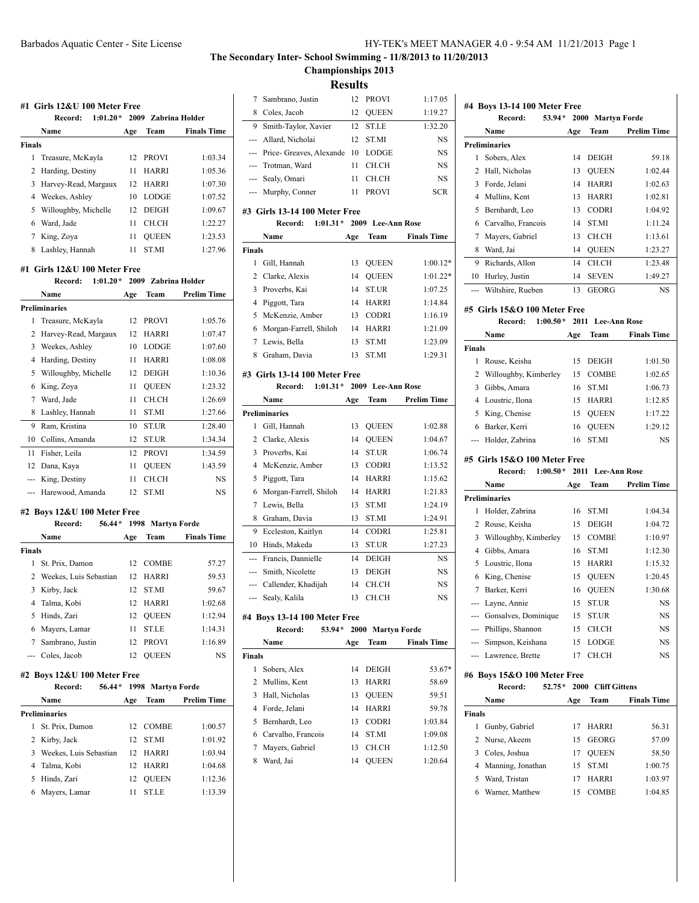# **The Secondary Inter- School Swimming - 11/8/2013 to 11/20/2013 Championships 2013**

**Results**

|               | Name                                             | Age      | Team                         | <b>Finals Time</b> |
|---------------|--------------------------------------------------|----------|------------------------------|--------------------|
| Finals        |                                                  |          |                              |                    |
| 1             | Treasure, McKayla                                | 12       | <b>PROVI</b>                 | 1:03.34            |
| 2             | Harding, Destiny                                 | 11       | <b>HARRI</b>                 | 1:05.36            |
| 3             | Harvey-Read, Margaux                             | 12       | HARRI                        | 1:07.30            |
| 4             | Weekes, Ashley                                   | 10       | LODGE                        | 1:07.52            |
| 5             | Willoughby, Michelle                             | 12       | <b>DEIGH</b>                 | 1:09.67            |
| 6             | Ward, Jade                                       | 11       | CH.CH                        | 1:22.27            |
| 7             | King, Zoya                                       | 11       | QUEEN                        | 1:23.53            |
| 8             | Lashley, Hannah                                  | 11       | <b>ST.MI</b>                 | 1:27.96            |
|               | #1   Girls 12&U 100 Meter Free                   |          |                              |                    |
|               | Record:                                          |          | 1:01.20* 2009 Zabrina Holder |                    |
|               | Name                                             | Age      | Team                         | <b>Prelim Time</b> |
|               | Preliminaries                                    |          |                              |                    |
| 1             | Treasure, McKayla                                | 12       | <b>PROVI</b>                 | 1:05.76            |
| 2             | Harvey-Read, Margaux                             | 12       | HARRI                        | 1:07.47            |
| 3             | Weekes, Ashley                                   | 10       | <b>LODGE</b>                 | 1:07.60            |
| 4             | Harding, Destiny                                 | 11       | HARRI                        | 1:08.08            |
| 5             | Willoughby, Michelle                             | 12       | <b>DEIGH</b>                 | 1:10.36            |
| 6             | King, Zoya                                       | 11       | <b>QUEEN</b>                 | 1:23.32            |
| 7             | Ward, Jade                                       | 11       | CH.CH                        | 1:26.69            |
| 8             | Lashley, Hannah                                  | 11       | ST.MI                        | 1:27.66            |
| 9             | Ram, Kristina                                    | 10       | ST.UR                        | 1:28.40            |
| 10            | Collins, Amanda                                  | 12       | ST.UR                        | 1:34.34            |
| 11            | Fisher, Leila                                    | 12       | <b>PROVI</b>                 | 1:34.59            |
| 12            | Dana, Kaya                                       | 11       | QUEEN                        | 1:43.59            |
| ---           | King, Destiny                                    | 11       | CH.CH                        | NS                 |
|               | Harewood, Amanda                                 | 12       | ST.MI                        | NS                 |
|               |                                                  |          |                              |                    |
|               |                                                  |          |                              |                    |
|               | #2 Boys 12&U 100 Meter Free<br>56.44*<br>Record: |          |                              |                    |
|               | Name                                             | Age      | 1998 Martyn Forde<br>Team    | <b>Finals Time</b> |
|               |                                                  |          |                              |                    |
|               | St. Prix, Damon                                  |          | 12 COMBE                     | 57.27              |
|               | Weekes, Luis Sebastian                           |          | 12 HARRI                     | 59.53              |
| 1<br>3        | Kirby, Jack                                      | 12       | <b>ST.MI</b>                 | 59.67              |
|               |                                                  |          | 12 HARRI                     | 1:02.68            |
| 2<br>5        | 4 Talma, Kobi<br>Hinds, Zari                     | 12       | <b>QUEEN</b>                 | 1:12.94            |
| Finals<br>6   | Mayers, Lamar                                    | 11       | <b>ST.LE</b>                 | 1:14.31            |
|               | Sambrano, Justin                                 | 12       | <b>PROVI</b>                 | 1:16.89            |
|               | Coles, Jacob                                     | 12       | <b>QUEEN</b>                 | NS                 |
|               |                                                  |          |                              |                    |
|               | #2 Boys 12&U 100 Meter Free<br>56.44*<br>Record: |          |                              |                    |
|               | Name                                             | Age      | 1998 Martyn Forde<br>Team    | <b>Prelim Time</b> |
|               | Preliminaries                                    |          |                              |                    |
|               |                                                  | 12       |                              |                    |
| 7<br>1        | St. Prix, Damon                                  |          | COMBE                        | 1:00.57            |
|               | Kirby, Jack                                      | 12       | ST.MI                        | 1:01.92            |
| 2<br>3        | Weekes, Luis Sebastian                           | 12       | HARRI                        | 1:03.94            |
| ---<br>4<br>5 | Talma, Kobi<br>Hinds, Zari                       | 12<br>12 | HARRI<br><b>QUEEN</b>        | 1:04.68<br>1:12.36 |

|                               |                                                        | ілсэшііэ |                              |                    |  |
|-------------------------------|--------------------------------------------------------|----------|------------------------------|--------------------|--|
| 7                             | Sambrano, Justin                                       | 12       | <b>PROVI</b>                 | 1:17.05            |  |
| 8                             | Coles, Jacob                                           | 12       | QUEEN                        | 1:19.27            |  |
| 9                             | Smith-Taylor, Xavier                                   | 12       | <b>ST.LE</b>                 | 1:32.20            |  |
| ---                           | Allard, Nicholai                                       | 12       | ST.MI                        | NS                 |  |
| ---                           | Price- Greaves, Alexande                               | 10       | <b>LODGE</b>                 | NS                 |  |
| $\qquad \qquad -\qquad -$     | Trotman, Ward                                          | 11       | CH.CH                        | NS                 |  |
| ---                           | Sealy, Omari                                           | 11       | CH.CH                        | NS                 |  |
| ---                           | Murphy, Conner                                         | 11       | <b>PROVI</b>                 | SCR                |  |
|                               |                                                        |          |                              |                    |  |
|                               | #3 Girls 13-14 100 Meter Free<br>$1:01.31*$<br>Record: |          | 2009 Lee-Ann Rose            |                    |  |
|                               | Name                                                   | Age      | Team                         | <b>Finals Time</b> |  |
| <b>Finals</b>                 |                                                        |          |                              |                    |  |
| 1                             | Gill, Hannah                                           | 13       | QUEEN                        | $1:00.12*$         |  |
| 2                             | Clarke, Alexis                                         | 14       | <b>QUEEN</b>                 | 1:01.22*           |  |
| 3                             | Proverbs, Kai                                          | 14       | ST.UR                        | 1:07.25            |  |
| 4                             | Piggott, Tara                                          | 14       | HARRI                        | 1:14.84            |  |
| 5                             | McKenzie, Amber                                        | 13       | CODRI                        | 1:16.19            |  |
| 6                             | Morgan-Farrell, Shiloh                                 | 14       | <b>HARRI</b>                 | 1:21.09            |  |
| 7                             | Lewis, Bella                                           | 13       | <b>ST.MI</b>                 | 1:23.09            |  |
| 8                             | Graham, Davia                                          | 13       | ST.MI                        | 1:29.31            |  |
|                               |                                                        |          |                              |                    |  |
| #3 Girls 13-14 100 Meter Free |                                                        |          |                              |                    |  |
|                               | $1:01.31*$<br>Record:                                  | 2009     | <b>Lee-Ann Rose</b>          |                    |  |
|                               | Name                                                   | Age      | Team                         | <b>Prelim Time</b> |  |
|                               | <b>Preliminaries</b>                                   |          |                              |                    |  |
| 1                             | Gill, Hannah                                           | 13       | QUEEN                        | 1:02.88            |  |
| 2                             | Clarke, Alexis                                         | 14       | QUEEN                        | 1:04.67            |  |
| 3                             | Proverbs, Kai                                          | 14       | <b>ST.UR</b>                 | 1:06.74            |  |
| 4                             | McKenzie, Amber                                        | 13       | CODRI                        | 1:13.52            |  |
| 5                             | Piggott, Tara                                          | 14       | HARRI                        | 1:15.62            |  |
| 6                             | Morgan-Farrell, Shiloh                                 | 14       | HARRI                        | 1:21.83            |  |
| 7                             | Lewis, Bella                                           | 13       | ST.MI                        | 1:24.19            |  |
| 8                             | Graham, Davia                                          | 13       | ST.MI                        | 1:24.91            |  |
| 9                             | Eccleston, Kaitlyn                                     | 14       | <b>CODRI</b>                 | 1:25.81            |  |
| 10                            | Hinds, Makeda                                          | 13       | ST.UR                        | 1:27.23            |  |
| ---<br>$\overline{a}$         | Francis, Dannielle<br>Smith, Nicolette                 | 14<br>13 | <b>DEIGH</b><br><b>DEIGH</b> | NS<br>NS           |  |
|                               | Callender, Khadijah                                    | 14       | CH.CH                        | NS                 |  |
|                               | Sealy, Kalila                                          | 13       | CH.CH                        | NS                 |  |
|                               |                                                        |          |                              |                    |  |
|                               | #4 Boys 13-14 100 Meter Free                           |          |                              |                    |  |
|                               | 53.94*<br>Record:                                      |          | 2000 Martyn Forde            |                    |  |
|                               | Name                                                   | Age      | Team                         | <b>Finals Time</b> |  |
| Finals                        |                                                        |          |                              |                    |  |
| 1                             | Sobers, Alex                                           | 14       | DEIGH                        | 53.67*             |  |
| 2                             | Mullins, Kent                                          | 13       | <b>HARRI</b>                 | 58.69              |  |
| 3                             | Hall, Nicholas                                         | 13       | <b>QUEEN</b>                 | 59.51              |  |
|                               | 4 Forde, Jelani                                        | 14       | <b>HARRI</b>                 | 59.78              |  |
| 5                             | Bernhardt, Leo                                         | 13       | <b>CODRI</b>                 | 1:03.84            |  |
|                               | 6 Carvalho, Francois                                   | 14       | ST.MI                        | 1:09.08            |  |
| 7                             | Mayers, Gabriel                                        | 13       | CH.CH                        | 1:12.50            |  |
| 8                             | Ward, Jai                                              | 14       | QUEEN                        | 1:20.64            |  |
|                               |                                                        |          |                              |                    |  |
|                               |                                                        |          |                              |                    |  |

| 1<br>$\overline{2}$  | Name                           |          | 53.94*<br>2000<br>Record:<br><b>Martyn Forde</b> |                    |  |  |  |  |
|----------------------|--------------------------------|----------|--------------------------------------------------|--------------------|--|--|--|--|
|                      |                                | Age      | Team                                             | <b>Prelim Time</b> |  |  |  |  |
|                      | <b>Preliminaries</b>           |          |                                                  |                    |  |  |  |  |
|                      | Sobers, Alex                   | 14       | DEIGH                                            | 59.18              |  |  |  |  |
|                      | Hall, Nicholas                 | 13       | <b>OUEEN</b>                                     | 1:02.44            |  |  |  |  |
|                      | 3 Forde, Jelani                | 14       | HARRI                                            | 1:02.63            |  |  |  |  |
|                      | 4 Mullins, Kent                | 13       | HARRI                                            | 1:02.81            |  |  |  |  |
|                      | 5 Bernhardt, Leo               | 13       | <b>CODRI</b>                                     | 1:04.92            |  |  |  |  |
|                      | 6 Carvalho, Francois           | 14       | ST.MI                                            | 1:11.24            |  |  |  |  |
| 7                    | Mayers, Gabriel                | 13       | CH.CH                                            | 1:13.61            |  |  |  |  |
| 8                    | Ward, Jai                      | 14       | <b>OUEEN</b>                                     | 1:23.27            |  |  |  |  |
| 9                    | Richards, Allon                | 14       | CH.CH                                            | 1:23.48            |  |  |  |  |
| 10                   | Hurley, Justin                 | 14       | <b>SEVEN</b>                                     | 1:49.27            |  |  |  |  |
| ---                  | Wiltshire, Rueben              | 13       | <b>GEORG</b>                                     | NS                 |  |  |  |  |
|                      | #5 Girls 15&O 100 Meter Free   |          |                                                  |                    |  |  |  |  |
|                      | $1:00.50*$<br>Record:          | 2011     | <b>Lee-Ann Rose</b>                              |                    |  |  |  |  |
|                      | Name                           | Age      | Team                                             | <b>Finals Time</b> |  |  |  |  |
| <b>Finals</b>        |                                |          |                                                  |                    |  |  |  |  |
| 1                    | Rouse, Keisha                  | 15       | <b>DEIGH</b>                                     | 1:01.50            |  |  |  |  |
| 2                    | Willoughby, Kimberley          | 15       | COMBE                                            | 1:02.65            |  |  |  |  |
|                      | 3 Gibbs, Amara                 | 16       | ST.MI                                            | 1:06.73            |  |  |  |  |
|                      | 4 Loustric, Ilona              | 15       | HARRI                                            | 1:12.85            |  |  |  |  |
|                      | 5 King, Chenise                | 15       | QUEEN                                            | 1:17.22            |  |  |  |  |
| 6                    | Barker, Kerri                  | 16       | <b>QUEEN</b>                                     | 1:29.12            |  |  |  |  |
| ---                  | Holder, Zabrina                | 16       | <b>ST.MI</b>                                     | NS                 |  |  |  |  |
|                      | #5 Girls 15&O 100 Meter Free   |          |                                                  |                    |  |  |  |  |
|                      | $1:00.50*$<br>Record:          | 2011     | <b>Lee-Ann Rose</b>                              |                    |  |  |  |  |
|                      | Name                           | Age      | Team                                             | <b>Prelim Time</b> |  |  |  |  |
|                      |                                |          |                                                  |                    |  |  |  |  |
| <b>Preliminaries</b> |                                |          |                                                  |                    |  |  |  |  |
| 1                    | Holder, Zabrina                | 16       | ST.MI                                            | 1:04.34            |  |  |  |  |
| 2                    | Rouse, Keisha                  | 15       | DEIGH                                            | 1:04.72            |  |  |  |  |
| 3                    | Willoughby, Kimberley          | 15       | COMBE                                            | 1:10.97            |  |  |  |  |
|                      | 4 Gibbs, Amara                 | 16       | ST.MI                                            | 1:12.30            |  |  |  |  |
|                      | 5 Loustric, Ilona              | 15       | <b>HARRI</b>                                     | 1:15.32            |  |  |  |  |
| 6                    | King, Chenise                  | 15       | <b>QUEEN</b>                                     | 1:20.45            |  |  |  |  |
| 7                    | Barker, Kerri                  | 16       | <b>QUEEN</b>                                     | 1:30.68            |  |  |  |  |
|                      | Layne, Annie                   |          | 15 ST.UR                                         | <b>NS</b>          |  |  |  |  |
|                      | --- Gonsalves, Dominique       | 15       | ST.UR                                            | NS                 |  |  |  |  |
|                      | --- Phillips, Shannon          | 15       | CH.CH                                            | NS                 |  |  |  |  |
|                      | --- Simpson, Keishana          | 15       | LODGE                                            | NS                 |  |  |  |  |
|                      | --- Lawrence, Brette           | 17       | CH.CH                                            | NS                 |  |  |  |  |
|                      | #6 Boys 15&O 100 Meter Free    |          |                                                  |                    |  |  |  |  |
|                      | $52.75*$<br>Record:            | 2000     | <b>Cliff Gittens</b>                             |                    |  |  |  |  |
|                      | Name                           | Age      | Team                                             | <b>Finals Time</b> |  |  |  |  |
| Finals               |                                |          |                                                  |                    |  |  |  |  |
| 1<br>2               | Gunby, Gabriel<br>Nurse, Akeem | 17<br>15 | HARRI<br><b>GEORG</b>                            | 56.31<br>57.09     |  |  |  |  |

| 5 Ward, Tristan   | 17 HARRI | 1:03.97 |
|-------------------|----------|---------|
| 6 Warner, Matthew | 15 COMBE | 1:04.85 |

4 Manning, Jonathan 15 ST.MI 1:00.75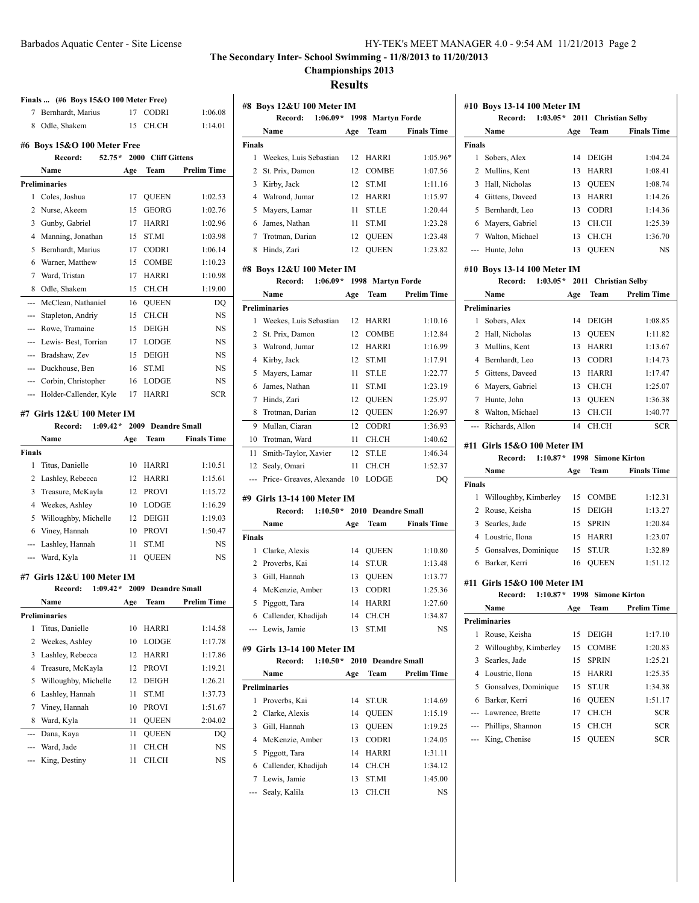**Championships 2013**

**Results**

| 7<br>8<br>3<br>5 | Finals  (#6 Boys 15&O 100 Meter Free)<br>Bernhardt, Marius<br>Odle, Shakem<br>#6 Boys 15&O 100 Meter Free<br>Record:<br>$52.75*$<br><b>Name</b><br>Preliminaries<br>1 Coles, Joshua<br>2 Nurse, Akeem<br>Gunby, Gabriel<br>4 Manning, Jonathan<br>Bernhardt, Marius<br>6 Warner, Matthew<br>7 Ward, Tristan<br>8 Odle, Shakem<br>--- McClean, Nathaniel | 17<br>15<br>Age<br>17<br>15<br>17<br>15<br>17<br>15<br>17 | <b>CODRI</b><br>CH.CH<br>2000 Cliff Gittens<br>Team<br><b>QUEEN</b><br><b>GEORG</b><br><b>HARRI</b><br>ST.MI<br><b>CODRI</b> | 1:06.08<br>1:14.01<br><b>Prelim Time</b><br>1:02.53<br>1:02.76<br>1:02.96 |  |  |
|------------------|---------------------------------------------------------------------------------------------------------------------------------------------------------------------------------------------------------------------------------------------------------------------------------------------------------------------------------------------------------|-----------------------------------------------------------|------------------------------------------------------------------------------------------------------------------------------|---------------------------------------------------------------------------|--|--|
|                  |                                                                                                                                                                                                                                                                                                                                                         |                                                           |                                                                                                                              |                                                                           |  |  |
|                  |                                                                                                                                                                                                                                                                                                                                                         |                                                           |                                                                                                                              |                                                                           |  |  |
|                  |                                                                                                                                                                                                                                                                                                                                                         |                                                           |                                                                                                                              |                                                                           |  |  |
|                  |                                                                                                                                                                                                                                                                                                                                                         |                                                           |                                                                                                                              |                                                                           |  |  |
|                  |                                                                                                                                                                                                                                                                                                                                                         |                                                           |                                                                                                                              |                                                                           |  |  |
|                  |                                                                                                                                                                                                                                                                                                                                                         |                                                           |                                                                                                                              |                                                                           |  |  |
|                  |                                                                                                                                                                                                                                                                                                                                                         |                                                           |                                                                                                                              |                                                                           |  |  |
|                  |                                                                                                                                                                                                                                                                                                                                                         |                                                           |                                                                                                                              |                                                                           |  |  |
|                  |                                                                                                                                                                                                                                                                                                                                                         |                                                           |                                                                                                                              |                                                                           |  |  |
|                  |                                                                                                                                                                                                                                                                                                                                                         |                                                           |                                                                                                                              |                                                                           |  |  |
|                  |                                                                                                                                                                                                                                                                                                                                                         |                                                           |                                                                                                                              | 1:03.98                                                                   |  |  |
|                  |                                                                                                                                                                                                                                                                                                                                                         |                                                           |                                                                                                                              | 1:06.14                                                                   |  |  |
|                  |                                                                                                                                                                                                                                                                                                                                                         |                                                           | COMBE                                                                                                                        | 1:10.23                                                                   |  |  |
|                  |                                                                                                                                                                                                                                                                                                                                                         |                                                           | HARRI                                                                                                                        | 1:10.98                                                                   |  |  |
|                  |                                                                                                                                                                                                                                                                                                                                                         | 15                                                        | CH.CH                                                                                                                        | 1:19.00                                                                   |  |  |
|                  |                                                                                                                                                                                                                                                                                                                                                         | 16                                                        | <b>QUEEN</b>                                                                                                                 | DQ                                                                        |  |  |
|                  | --- Stapleton, Andriy                                                                                                                                                                                                                                                                                                                                   | 15                                                        | CH.CH                                                                                                                        | NS                                                                        |  |  |
|                  | --- Rowe, Tramaine                                                                                                                                                                                                                                                                                                                                      | 15                                                        | <b>DEIGH</b>                                                                                                                 | <b>NS</b>                                                                 |  |  |
|                  | --- Lewis- Best, Torrian                                                                                                                                                                                                                                                                                                                                | 17                                                        | <b>LODGE</b>                                                                                                                 | <b>NS</b>                                                                 |  |  |
|                  | --- Bradshaw, Zev                                                                                                                                                                                                                                                                                                                                       | 15                                                        | <b>DEIGH</b>                                                                                                                 | <b>NS</b>                                                                 |  |  |
|                  | --- Duckhouse, Ben                                                                                                                                                                                                                                                                                                                                      | 16                                                        | ST.MI                                                                                                                        | <b>NS</b>                                                                 |  |  |
|                  | --- Corbin, Christopher                                                                                                                                                                                                                                                                                                                                 | 16                                                        | <b>LODGE</b>                                                                                                                 | NS.                                                                       |  |  |
|                  | --- Holder-Callender, Kyle                                                                                                                                                                                                                                                                                                                              | 17                                                        | HARRI                                                                                                                        | <b>SCR</b>                                                                |  |  |
|                  |                                                                                                                                                                                                                                                                                                                                                         |                                                           |                                                                                                                              |                                                                           |  |  |
|                  | #7  Girls 12&U 100 Meter IM<br>$1:09.42*$<br>Record:                                                                                                                                                                                                                                                                                                    |                                                           | 2009 Deandre Small                                                                                                           |                                                                           |  |  |
|                  | Name                                                                                                                                                                                                                                                                                                                                                    | Age                                                       | Team                                                                                                                         | <b>Finals Time</b>                                                        |  |  |
| Finals           |                                                                                                                                                                                                                                                                                                                                                         |                                                           |                                                                                                                              |                                                                           |  |  |
| 1                | Titus, Danielle                                                                                                                                                                                                                                                                                                                                         | 10                                                        | HARRI                                                                                                                        | 1:10.51                                                                   |  |  |
| 2                | Lashley, Rebecca                                                                                                                                                                                                                                                                                                                                        | 12                                                        | HARRI                                                                                                                        | 1:15.61                                                                   |  |  |
| 3                | Treasure, McKayla                                                                                                                                                                                                                                                                                                                                       | 12                                                        | <b>PROVI</b>                                                                                                                 | 1:15.72                                                                   |  |  |
| 4                | Weekes, Ashley                                                                                                                                                                                                                                                                                                                                          | 10                                                        | LODGE                                                                                                                        | 1:16.29                                                                   |  |  |
| 5                | Willoughby, Michelle                                                                                                                                                                                                                                                                                                                                    | 12                                                        | DEIGH                                                                                                                        | 1:19.03                                                                   |  |  |
| 6                | Viney, Hannah                                                                                                                                                                                                                                                                                                                                           | 10                                                        | <b>PROVI</b>                                                                                                                 | 1:50.47                                                                   |  |  |
|                  | --- Lashley, Hannah                                                                                                                                                                                                                                                                                                                                     | 11                                                        | ST.MI                                                                                                                        | <b>NS</b>                                                                 |  |  |
|                  | --- Ward, Kyla                                                                                                                                                                                                                                                                                                                                          | 11                                                        | <b>OUEEN</b>                                                                                                                 | NS.                                                                       |  |  |
|                  |                                                                                                                                                                                                                                                                                                                                                         |                                                           |                                                                                                                              |                                                                           |  |  |
|                  | #7 Girls 12&U 100 Meter IM                                                                                                                                                                                                                                                                                                                              |                                                           |                                                                                                                              |                                                                           |  |  |
|                  | Record: 1:09.42* 2009 Deandre Small                                                                                                                                                                                                                                                                                                                     |                                                           |                                                                                                                              |                                                                           |  |  |
|                  | Name                                                                                                                                                                                                                                                                                                                                                    | Age                                                       | Team                                                                                                                         | Prelim Time                                                               |  |  |
|                  | Preliminaries                                                                                                                                                                                                                                                                                                                                           |                                                           |                                                                                                                              |                                                                           |  |  |
| 1                | Titus, Danielle                                                                                                                                                                                                                                                                                                                                         | 10                                                        | HARRI                                                                                                                        | 1:14.58                                                                   |  |  |
| 2                | Weekes, Ashley                                                                                                                                                                                                                                                                                                                                          | 10                                                        | LODGE                                                                                                                        | 1:17.78                                                                   |  |  |
|                  | Lashley, Rebecca                                                                                                                                                                                                                                                                                                                                        | 12                                                        | HARRI                                                                                                                        | 1:17.86                                                                   |  |  |
| 3                | Treasure, McKayla                                                                                                                                                                                                                                                                                                                                       | 12                                                        | PROVI                                                                                                                        | 1:19.21                                                                   |  |  |
| 4                |                                                                                                                                                                                                                                                                                                                                                         | 12                                                        | DEIGH                                                                                                                        | 1:26.21                                                                   |  |  |
| 5                | Willoughby, Michelle                                                                                                                                                                                                                                                                                                                                    |                                                           |                                                                                                                              |                                                                           |  |  |
| 6                | Lashley, Hannah                                                                                                                                                                                                                                                                                                                                         | 11                                                        | ST.MI                                                                                                                        | 1:37.73                                                                   |  |  |
| $\tau$           | Viney, Hannah                                                                                                                                                                                                                                                                                                                                           | 10                                                        | PROVI                                                                                                                        | 1:51.67                                                                   |  |  |
| 8                | Ward, Kyla                                                                                                                                                                                                                                                                                                                                              | 11                                                        | QUEEN                                                                                                                        | 2:04.02                                                                   |  |  |
| ---              | Dana, Kaya                                                                                                                                                                                                                                                                                                                                              | 11                                                        | QUEEN                                                                                                                        | DQ                                                                        |  |  |
|                  | Ward, Jade                                                                                                                                                                                                                                                                                                                                              | 11                                                        | CH.CH                                                                                                                        | NS                                                                        |  |  |
|                  | King, Destiny                                                                                                                                                                                                                                                                                                                                           | 11                                                        | CH.CH                                                                                                                        | NS                                                                        |  |  |

|               | Name                   | Age | Team         | <b>Finals Time</b> |
|---------------|------------------------|-----|--------------|--------------------|
| <b>Finals</b> |                        |     |              |                    |
| 1             | Weekes, Luis Sebastian | 12  | <b>HARRI</b> | $1:05.96*$         |
|               | 2 St. Prix, Damon      |     | 12 COMBE     | 1:07.56            |
| 3             | Kirby, Jack            | 12  | <b>STMI</b>  | 1:11.16            |
| 4             | Walrond, Jumar         | 12  | <b>HARRI</b> | 1:15.97            |
| 5             | Mayers, Lamar          | 11  | <b>STLE</b>  | 1:20.44            |
| 6             | James, Nathan          | 11  | <b>STMI</b>  | 1:23.28            |
| 7             | Trotman, Darian        |     | 12 OUEEN     | 1:23.48            |
| 8             | Hinds, Zari            | 12  | <b>OUEEN</b> | 1:23.82            |

|    | Name                     | Age | Team         | Prelim Time |
|----|--------------------------|-----|--------------|-------------|
|    | <b>Preliminaries</b>     |     |              |             |
| 1  | Weekes, Luis Sebastian   | 12  | <b>HARRI</b> | 1:10.16     |
| 2  | St. Prix, Damon          | 12  | <b>COMBE</b> | 1:12.84     |
| 3  | Walrond, Jumar           | 12  | <b>HARRI</b> | 1:16.99     |
| 4  | Kirby, Jack              | 12  | <b>STMI</b>  | 1:17.91     |
| 5  | Mayers, Lamar            | 11  | <b>STIE</b>  | 1:22.77     |
| 6  | James, Nathan            | 11  | <b>STMI</b>  | 1:23.19     |
| 7  | Hinds, Zari              | 12  | <b>OUEEN</b> | 1:25.97     |
| 8  | Trotman, Darian          | 12  | <b>QUEEN</b> | 1:26.97     |
| 9  | Mullan, Ciaran           | 12  | <b>CODRI</b> | 1:36.93     |
| 10 | Trotman, Ward            | 11  | CH CH        | 1:40.62     |
| 11 | Smith-Taylor, Xavier     | 12  | <b>ST.LE</b> | 1:46.34     |
| 12 | Sealy, Omari             | 11  | CH CH        | 1:52.37     |
|    | Price- Greaves, Alexande | 10  | LODGE        | DO          |

#### **#9 Girls 13-14 100 Meter IM**

|               | Record:             |     | $1:10.50*$ 2010 Deandre Small |                    |
|---------------|---------------------|-----|-------------------------------|--------------------|
|               | Name                | Age | Team                          | <b>Finals Time</b> |
| <b>Finals</b> |                     |     |                               |                    |
| 1             | Clarke, Alexis      | 14  | <b>OUEEN</b>                  | 1:10.80            |
|               | 2 Proverbs, Kai     | 14  | <b>ST UR</b>                  | 1:13.48            |
| 3             | Gill, Hannah        | 13  | <b>OUEEN</b>                  | 1:13.77            |
|               | 4 McKenzie, Amber   | 13  | <b>CODRI</b>                  | 1:25.36            |
| 5             | Piggott, Tara       | 14  | <b>HARRI</b>                  | 1:27.60            |
| 6             | Callender, Khadijah | 14  | CH CH                         | 1:34.87            |
|               | --- Lewis, Jamie    | 13  | ST.MI                         | NS                 |

### **#9 Girls 13-14 100 Meter IM**

|   | Record:               |     | $1:10.50*$ 2010 Deandre Small |                    |
|---|-----------------------|-----|-------------------------------|--------------------|
|   | Name                  | Age | Team                          | <b>Prelim Time</b> |
|   | <b>Preliminaries</b>  |     |                               |                    |
| 1 | Proverbs, Kai         | 14  | <b>STIR</b>                   | 1:14.69            |
|   | 2 Clarke, Alexis      | 14  | <b>OUEEN</b>                  | 1:15.19            |
|   | 3 Gill, Hannah        | 13  | <b>OUEEN</b>                  | 1:19.25            |
|   | 4 McKenzie, Amber     | 13  | <b>CODRI</b>                  | 1:24.05            |
|   | 5 Piggott, Tara       | 14  | <b>HARRI</b>                  | 1:31.11            |
|   | 6 Callender, Khadijah | 14  | CH CH                         | 1:34.12            |
|   | 7 Lewis, Jamie        | 13  | <b>STMI</b>                   | 1:45.00            |
|   | --- Sealy, Kalila     | 13  | CH CH                         | NS                 |

| #10 Boys 13-14 100 Meter IM |                 |     |                                 |                    |  |
|-----------------------------|-----------------|-----|---------------------------------|--------------------|--|
|                             | Record:         |     | $1:03.05*$ 2011 Christian Selby |                    |  |
|                             | Name            | Age | Team                            | <b>Finals Time</b> |  |
| <b>Finals</b>               |                 |     |                                 |                    |  |
| 1                           | Sobers, Alex    | 14  | <b>DEIGH</b>                    | 1:04.24            |  |
|                             | 2 Mullins, Kent | 13  | <b>HARRI</b>                    | 1:08.41            |  |
| 3                           | Hall, Nicholas  | 13  | <b>OUEEN</b>                    | 1:08.74            |  |
| 4                           | Gittens, Daveed | 13  | <b>HARRI</b>                    | 1:14.26            |  |
| 5.                          | Bernhardt, Leo  | 13  | <b>CODRI</b>                    | 1:14.36            |  |
| 6                           | Mayers, Gabriel | 13  | CH CH                           | 1:25.39            |  |
|                             | Walton, Michael | 13  | CH CH                           | 1:36.70            |  |
|                             | Hunte, John     | 13  | <b>OUEEN</b>                    | NS                 |  |

# **#10 Boys 13-14 100 Meter IM**

|    | Record:              | $1:03.05*$ | 2011 Christian Selby |                    |
|----|----------------------|------------|----------------------|--------------------|
|    | Name                 | Age        | Team                 | <b>Prelim Time</b> |
|    | <b>Preliminaries</b> |            |                      |                    |
| 1  | Sobers, Alex         | 14         | <b>DEIGH</b>         | 1:08.85            |
|    | 2 Hall, Nicholas     | 13         | <b>OUEEN</b>         | 1:11.82            |
|    | 3 Mullins, Kent      | 13         | <b>HARRI</b>         | 1:13.67            |
| 4  | Bernhardt, Leo       | 13         | <b>CODRI</b>         | 1:14.73            |
| 5. | Gittens, Daveed      | 13         | <b>HARRI</b>         | 1:17.47            |
| 6  | Mayers, Gabriel      | 13         | <b>CH CH</b>         | 1:25.07            |
| 7  | Hunte, John          | 13         | <b>OUEEN</b>         | 1:36.38            |
| 8  | Walton, Michael      | 13         | CH.CH                | 1:40.77            |
|    | Richards, Allon      | 14         | CH CH                | <b>SCR</b>         |

### **#11 Girls 15&O 100 Meter IM**

|                             | Record:                |  |     | 1:10.87* 1998 Simone Kirton |                    |
|-----------------------------|------------------------|--|-----|-----------------------------|--------------------|
|                             | Name                   |  | Age | Team                        | <b>Finals Time</b> |
| Finals                      |                        |  |     |                             |                    |
| 1                           | Willoughby, Kimberley  |  | 15  | <b>COMBE</b>                | 1:12.31            |
|                             | 2 Rouse, Keisha        |  | 15  | <b>DEIGH</b>                | 1:13.27            |
| 3                           | Searles, Jade          |  | 15  | <b>SPRIN</b>                | 1:20.84            |
|                             | 4 Loustric, Ilona      |  | 15  | <b>HARRI</b>                | 1:23.07            |
|                             | 5 Gonsalves, Dominique |  | 15  | <b>ST.UR</b>                | 1:32.89            |
| 6                           | Barker, Kerri          |  | 16  | <b>OUEEN</b>                | 1:51.12            |
| #11 Girls 15&0 100 Meter IM |                        |  |     |                             |                    |

# **Record: 1:10.87\* 1998 Simone Kirton**

|   | Name                    | Age | Team         | <b>Prelim Time</b> |
|---|-------------------------|-----|--------------|--------------------|
|   | <b>Preliminaries</b>    |     |              |                    |
| 1 | Rouse, Keisha           | 15  | <b>DEIGH</b> | 1:17.10            |
|   | 2 Willoughby, Kimberley | 15  | <b>COMBE</b> | 1:20.83            |
|   | 3 Searles, Jade         | 15  | <b>SPRIN</b> | 1:25.21            |
|   | 4 Loustric, Ilona       | 15  | <b>HARRI</b> | 1:25.35            |
|   | 5 Gonsalves, Dominique  | 15  | <b>ST.UR</b> | 1:34.38            |
| 6 | Barker, Kerri           | 16  | <b>OUEEN</b> | 1:51.17            |
|   | --- Lawrence, Brette    | 17  | CH.CH        | <b>SCR</b>         |
|   | --- Phillips, Shannon   | 15  | CH CH        | <b>SCR</b>         |
|   | --- King, Chenise       | 15  | <b>OUEEN</b> | <b>SCR</b>         |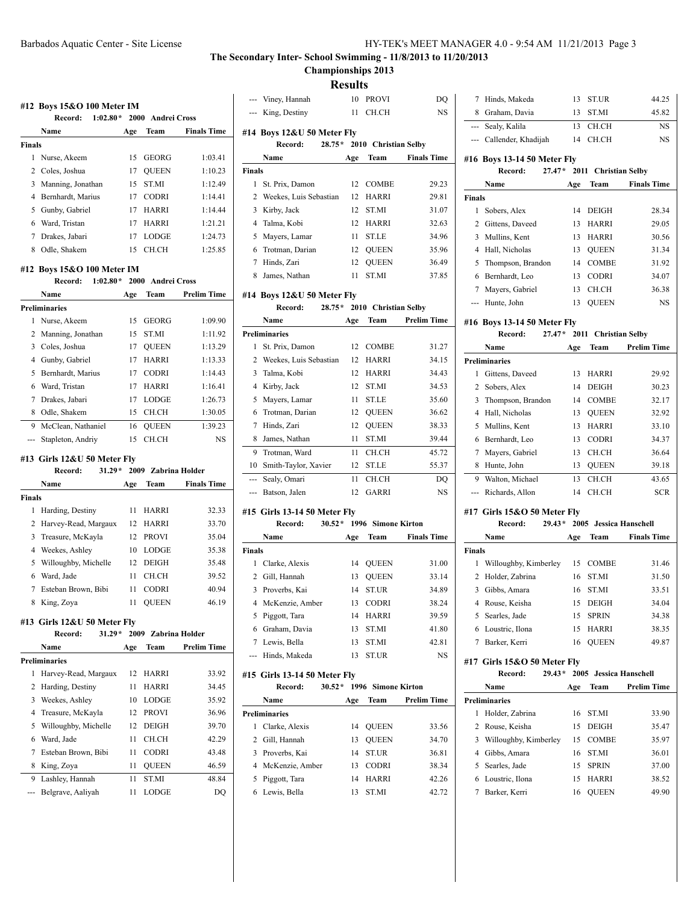**Championships 2013**

**Results**

|               | $1:02.80*$<br>Record:                              |          | 2000 Andrei Cross          |                       |
|---------------|----------------------------------------------------|----------|----------------------------|-----------------------|
|               | Name                                               | Age      | <b>Team</b>                | <b>Finals Time</b>    |
| Finals        |                                                    |          |                            |                       |
|               | 1 Nurse, Akeem                                     | 15       | GEORG                      | 1:03.41               |
|               | 2 Coles, Joshua                                    | 17       | <b>QUEEN</b>               | 1:10.23               |
|               | 3 Manning, Jonathan                                | 15       | ST.MI                      | 1:12.49               |
|               | 4 Bernhardt, Marius                                | 17       | <b>CODRI</b>               | 1:14.41               |
| 5             | Gunby, Gabriel                                     | 17       | HARRI                      | 1:14.44               |
|               | 6 Ward, Tristan                                    | 17       | HARRI                      | 1:21.21               |
|               | 7 Drakes, Jabari                                   | 17       | LODGE                      | 1:24.73               |
|               | 8 Odle, Shakem                                     | 15       | CH.CH                      | 1:25.85               |
|               | #12 Boys 15&O 100 Meter IM                         |          |                            |                       |
|               | $1:02.80*$<br>Record:<br><b>Name</b>               |          | 2000 Andrei Cross<br>Team  | <b>Prelim Time</b>    |
|               | <b>Preliminaries</b>                               | Age      |                            |                       |
| 1             | Nurse, Akeem                                       | 15       | <b>GEORG</b>               | 1:09.90               |
|               | 2 Manning, Jonathan                                | 15       | <b>ST.MI</b>               | 1:11.92               |
|               | 3 Coles, Joshua                                    | 17       | <b>QUEEN</b>               | 1:13.29               |
|               | 4 Gunby, Gabriel                                   | 17       | HARRI                      | 1:13.33               |
|               | 5 Bernhardt, Marius                                | 17       | <b>CODRI</b>               | 1:14.43               |
| 6             | Ward, Tristan                                      | 17       | HARRI                      | 1:16.41               |
| 7             | Drakes, Jabari                                     | 17       | <b>LODGE</b>               | 1:26.73               |
| 8             | Odle, Shakem                                       | 15       | CH.CH                      | 1:30.05               |
|               |                                                    |          |                            |                       |
|               |                                                    |          |                            |                       |
|               | 9 McClean, Nathaniel<br>Stapleton, Andriy          | 16<br>15 | <b>QUEEN</b><br>CH.CH      | 1:39.23<br>NS         |
|               | #13 Girls 12&U 50 Meter Fly<br>Record:             |          | 31.29* 2009 Zabrina Holder |                       |
|               | Name                                               | Age      | Team                       | <b>Finals Time</b>    |
|               |                                                    |          |                            |                       |
| 1             | Harding, Destiny                                   | 11       | HARRI                      | 32.33                 |
|               | 2 Harvey-Read, Margaux                             |          | 12 HARRI                   | 33.70                 |
| 3             | Treasure, McKayla                                  | 12       | <b>PROVI</b>               | 35.04                 |
|               | 4 Weekes, Ashley                                   | 10       | LODGE                      | 35.38                 |
| 5             | Willoughby, Michelle                               | 12       | DEIGH                      | 35.48                 |
| 6             | Ward, Jade                                         | 11       | CH.CH                      | 39.52                 |
| 7             | Esteban Brown, Bibi                                | 11       | <b>CODRI</b>               | 40.94                 |
| 8             | King, Zoya                                         | 11       | QUEEN                      | 46.19                 |
| <b>Finals</b> | #13 Girls 12&U 50 Meter Fly<br>$31.29*$<br>Record: | 2009     |                            | <b>Zabrina Holder</b> |
|               | Name                                               |          | Team                       |                       |
|               |                                                    | Age      |                            | <b>Prelim Time</b>    |
| 1             | <b>Preliminaries</b>                               | 12       |                            |                       |
| 2             | Harvey-Read, Margaux                               |          | HARRI                      | 33.92                 |
|               | Harding, Destiny                                   | 11       | HARRI                      | 34.45                 |
| 3             | Weekes, Ashley                                     | 10       | LODGE                      | 35.92                 |
| 4             | Treasure, McKayla                                  | 12       | PROVI                      | 36.96                 |
| 5             | Willoughby, Michelle                               | 12       | DEIGH                      | 39.70                 |
| 6             | Ward, Jade                                         | 11       | CH.CH                      | 42.29                 |
| 7             | Esteban Brown, Bibi                                | 11       | CODRI                      | 43.48                 |
| 8<br>9        | King, Zoya<br>Lashley, Hannah                      | 11<br>11 | QUEEN<br>ST.MI             | 46.59<br>48.84        |

|                | --- Viney, Hannah            |     | 10 PROVI                    | DQ                 |
|----------------|------------------------------|-----|-----------------------------|--------------------|
| ---            | King, Destiny                |     | 11 CH.CH                    | NS                 |
|                |                              |     |                             |                    |
|                | #14 Boys 12&U 50 Meter Fly   |     |                             |                    |
|                | Record:                      |     | 28.75* 2010 Christian Selby |                    |
|                | Name                         | Age | Team                        | <b>Finals Time</b> |
| Finals         |                              |     |                             |                    |
| 1              | St. Prix, Damon              | 12  | <b>COMBE</b>                | 29.23              |
| 2              | Weekes, Luis Sebastian       | 12  | HARRI                       | 29.81              |
| 3              | Kirby, Jack                  | 12  | ST.MI                       | 31.07              |
|                | 4 Talma, Kobi                | 12  | <b>HARRI</b>                | 32.63              |
| 5              | Mayers, Lamar                | 11  | <b>ST.LE</b>                | 34.96              |
| 6              | Trotman, Darian              |     | 12 QUEEN                    | 35.96              |
| $\tau$         | Hinds, Zari                  | 12  | <b>QUEEN</b>                | 36.49              |
|                | 8 James, Nathan              | 11  | ST.MI                       | 37.85              |
|                | #14 Boys 12&U 50 Meter Fly   |     |                             |                    |
|                | Record:                      |     | 28.75* 2010 Christian Selby |                    |
|                | Name                         | Age | Team                        | <b>Prelim Time</b> |
|                | <b>Preliminaries</b>         |     |                             |                    |
| 1              | St. Prix, Damon              |     | 12 COMBE                    | 31.27              |
|                | 2 Weekes, Luis Sebastian     | 12  | HARRI                       | 34.15              |
| 3              | Talma, Kobi                  | 12  | <b>HARRI</b>                | 34.43              |
| 4              | Kirby, Jack                  | 12  | ST.MI                       | 34.53              |
| 5              | Mayers, Lamar                | 11  | <b>ST.LE</b>                | 35.60              |
|                | 6 Trotman, Darian            | 12  | <b>OUEEN</b>                | 36.62              |
| 7              | Hinds, Zari                  | 12  | <b>QUEEN</b>                | 38.33              |
| 8              | James, Nathan                | 11  | ST.MI                       | 39.44              |
| 9              | Trotman, Ward                | 11  | CH.CH                       | 45.72              |
| 10             | Smith-Taylor, Xavier         | 12  | ST.LE                       | 55.37              |
| ---            | Sealy, Omari                 | 11  | CH.CH                       | DQ                 |
| ---            | Batson, Jalen                | 12  | GARRI                       | NS                 |
|                | #15 Girls 13-14 50 Meter Fly |     |                             |                    |
|                | Record:                      |     | 30.52 * 1996 Simone Kirton  |                    |
|                | Name                         | Age | Team                        | <b>Finals Time</b> |
| Finals         |                              |     |                             |                    |
| 1              | Clarke, Alexis               | 14  | QUEEN                       | 31.00              |
|                | 2 Gill, Hannah               | 13  | <b>QUEEN</b>                | 33.14              |
| 3              | Proverbs, Kai                | 14  | <b>ST.UR</b>                | 34.89              |
| $\overline{4}$ | McKenzie, Amber              | 13  | <b>CODRI</b>                | 38.24              |
| 5              | Piggott, Tara                | 14  | HARRI                       | 39.59              |
| 6              | Graham, Davia                | 13  | ST.MI                       | 41.80              |
|                | 7 Lewis, Bella               | 13  | ST.MI                       | 42.81              |
| ---            | Hinds, Makeda                | 13  | ST.UR                       | NS                 |
|                | #15 Girls 13-14 50 Meter Flv |     |                             |                    |
|                | $30.52*$<br>Record:          |     | 1996 Simone Kirton          |                    |
|                | Name                         | Age | Team                        | <b>Prelim Time</b> |
|                | <b>Preliminaries</b>         |     |                             |                    |
| 1              | Clarke, Alexis               | 14  | <b>QUEEN</b>                | 33.56              |
| 2              | Gill, Hannah                 | 13  | QUEEN                       | 34.70              |
| 3              | Proverbs, Kai                | 14  | ST.UR                       | 36.81              |
|                | 4 McKenzie, Amber            | 13  | CODRI                       | 38.34              |
| 5              | Piggott, Tara                | 14  | HARRI                       | 42.26              |
| 6              | Lewis, Bella                 | 13  | ST.MI                       | 42.72              |
|                |                              |     |                             |                    |

| 7 Hinds, Makeda         | 13 ST.UR | 44.25 |
|-------------------------|----------|-------|
| 8 Graham, Davia         | 13 ST.MI | 45.82 |
| --- Sealy, Kalila       | 13 CH.CH | NS    |
|                         |          |       |
| --- Callender, Khadijah | 14 CH.CH | NS    |

#### **#16 Boys 13-14 50 Meter Fly Record: 27.47\* 2011 Christian Selby**

|               | Kecord:             |     | $27.47^*$ 2011 Christian Selby |                    |
|---------------|---------------------|-----|--------------------------------|--------------------|
|               | Name                | Age | Team                           | <b>Finals Time</b> |
| <b>Finals</b> |                     |     |                                |                    |
| 1             | Sobers, Alex        | 14  | <b>DEIGH</b>                   | 28.34              |
|               | 2 Gittens, Daveed   | 13  | <b>HARRI</b>                   | 29.05              |
|               | 3 Mullins, Kent     | 13  | <b>HARRI</b>                   | 30.56              |
|               | 4 Hall, Nicholas    | 13  | <b>OUEEN</b>                   | 31.34              |
|               | 5 Thompson, Brandon | 14  | <b>COMBE</b>                   | 31.92              |
| 6             | Bernhardt, Leo      | 13  | <b>CODRI</b>                   | 34.07              |
| 7             | Mayers, Gabriel     | 13  | CH CH                          | 36.38              |
|               | --- Hunte, John     | 13  | <b>OUEEN</b>                   | <b>NS</b>          |

#### **#16 Boys 13-14 50 Meter Fly**

|   | #16 Boys 13-14 50 Meter Fly |     |                      |                    |
|---|-----------------------------|-----|----------------------|--------------------|
|   | Record:<br>$27.47*$         |     | 2011 Christian Selby |                    |
|   | Name                        | Age | Team                 | <b>Prelim Time</b> |
|   | <b>Preliminaries</b>        |     |                      |                    |
| 1 | Gittens, Daveed             | 13  | <b>HARRI</b>         | 29.92              |
| 2 | Sobers, Alex                | 14  | <b>DEIGH</b>         | 30.23              |
| 3 | Thompson, Brandon           | 14  | <b>COMBE</b>         | 32.17              |
| 4 | Hall, Nicholas              | 13  | <b>OUEEN</b>         | 32.92              |
| 5 | Mullins, Kent               | 13  | <b>HARRI</b>         | 33.10              |
| 6 | Bernhardt, Leo              | 13  | <b>CODRI</b>         | 34.37              |
| 7 | Mayers, Gabriel             | 13  | CH CH                | 36.64              |
| 8 | Hunte, John                 | 13  | <b>OUEEN</b>         | 39.18              |
| 9 | Walton, Michael             | 13  | CH CH                | 43.65              |
|   | Richards, Allon             | 14  | CH.CH                | <b>SCR</b>         |
|   |                             |     |                      |                    |

#### **#17 Girls 15&O 50 Meter Fly**

|               | Record:<br>$29.43*$   |     |              | 2005 Jessica Hanschell |
|---------------|-----------------------|-----|--------------|------------------------|
|               | Name                  | Age | Team         | <b>Finals Time</b>     |
| <b>Finals</b> |                       |     |              |                        |
| 1             | Willoughby, Kimberley | 15  | <b>COMBE</b> | 31.46                  |
|               | 2 Holder, Zabrina     | 16  | <b>STMI</b>  | 31.50                  |
| 3             | Gibbs, Amara          | 16  | -ST MI       | 33.51                  |
| 4             | Rouse, Keisha         | 15  | <b>DEIGH</b> | 34.04                  |
| 5             | Searles, Jade         | 15  | <b>SPRIN</b> | 34.38                  |
| 6             | Loustric, Ilona       | 15  | <b>HARRI</b> | 38.35                  |
|               | Barker, Kerri         | 16  | <b>OUEEN</b> | 49.87                  |

### **#17 Girls 15&O 50 Meter Fly**

|   | Record:                 | $29.43*$ |     | 2005 Jessica Hanschell |                    |
|---|-------------------------|----------|-----|------------------------|--------------------|
|   | Name                    |          | Age | Team                   | <b>Prelim Time</b> |
|   | <b>Preliminaries</b>    |          |     |                        |                    |
| 1 | Holder, Zabrina         |          | 16. | <b>STMI</b>            | 33.90              |
|   | 2 Rouse, Keisha         |          | 15  | <b>DEIGH</b>           | 35.47              |
|   | 3 Willoughby, Kimberley |          | 15  | <b>COMBE</b>           | 35.97              |
| 4 | Gibbs, Amara            |          | 16  | <b>STMI</b>            | 36.01              |
|   | 5 Searles, Jade         |          | 15  | <b>SPRIN</b>           | 37.00              |
|   | 6 Loustric, Ilona       |          | 15. | <b>HARRI</b>           | 38.52              |
|   | Barker, Kerri           |          | 16  | <b>OUEEN</b>           | 49.90              |
|   |                         |          |     |                        |                    |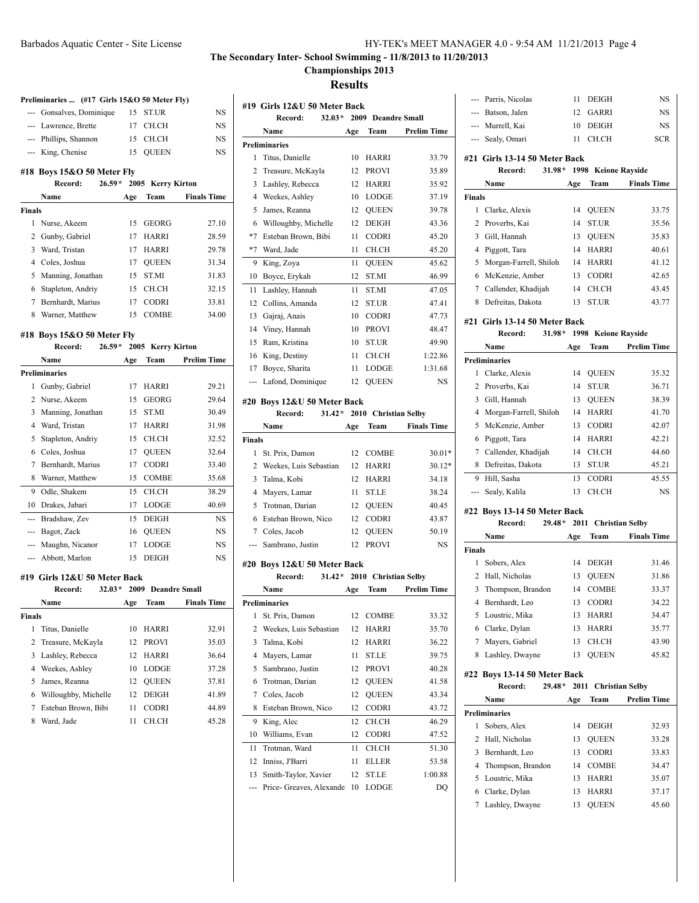# Barbados Aquatic Center - Site License

# **The Secondary Inter- School Swimming - 11/8/2013 to 11/20/2013**

# **Championships 2013**

**Results**

|                         | Preliminaries  (#17 Girls 15&O 50 Meter Fly) |     |                           |                      |
|-------------------------|----------------------------------------------|-----|---------------------------|----------------------|
|                         | --- Gonsalves, Dominique                     |     | 15 ST.UR                  | NS                   |
|                         | --- Lawrence, Brette                         |     | 17 CH.CH                  | <b>NS</b>            |
|                         | --- Phillips, Shannon                        |     | 15 CH.CH                  | <b>NS</b>            |
|                         | --- King, Chenise                            | 15  | <b>OUEEN</b>              | <b>NS</b>            |
|                         |                                              |     |                           |                      |
|                         | #18 Boys 15&O 50 Meter Fly                   |     |                           |                      |
|                         | Record: 26.59* 2005 Kerry Kirton<br>Name     |     |                           |                      |
|                         |                                              | Age | Team                      | <b>Finals Time</b>   |
| Finals                  |                                              |     | 15 GEORG                  |                      |
| 1<br>2                  | Nurse, Akeem                                 |     |                           | 27.10                |
|                         | Gunby, Gabriel                               | 17  | HARRI                     | 28.59                |
|                         | 3 Ward, Tristan                              | 17  | <b>HARRI</b>              | 29.78                |
|                         | 4 Coles, Joshua                              | 17  | QUEEN                     | 31.34                |
| 5                       | Manning, Jonathan                            | 15  | ST.MI                     | 31.83                |
|                         | 6 Stapleton, Andriy                          | 15  | CH.CH                     | 32.15                |
|                         | 7 Bernhardt, Marius                          | 17  | CODRI                     | 33.81                |
| 8                       | Warner, Matthew                              | 15  | COMBE                     | 34.00                |
|                         | #18 Boys 15&O 50 Meter Fly                   |     |                           |                      |
|                         | Record: 26.59* 2005 Kerry Kirton             |     |                           |                      |
|                         | Name                                         | Age | <b>Team</b>               | <b>Prelim Time</b>   |
|                         | Preliminaries                                |     |                           |                      |
|                         | 1 Gunby, Gabriel                             |     | 17 HARRI                  | 29.21                |
| 2                       | Nurse, Akeem                                 | 15  | GEORG                     | 29.64                |
| 3                       | Manning, Jonathan                            | 15  | ST.MI                     | 30.49                |
|                         | 4 Ward, Tristan                              | 17  | HARRI                     | 31.98                |
| 5                       | Stapleton, Andriy                            | 15  | CH.CH                     | 32.52                |
|                         | 6 Coles, Joshua                              | 17  | QUEEN                     | 32.64                |
|                         | 7 Bernhardt, Marius                          | 17  | <b>CODRI</b>              | 33.40                |
| 8                       | Warner, Matthew                              | 15  | <b>COMBE</b>              | 35.68                |
| 9                       | Odle, Shakem                                 | 15  | CH.CH                     | 38.29                |
| 10                      | Drakes, Jabari                               | 17  | LODGE                     | 40.69                |
|                         |                                              |     |                           |                      |
|                         | --- Bradshaw, Zev                            | 15  | DEIGH                     | NS                   |
|                         | --- Bagot, Zack                              | 16  | QUEEN                     | NS                   |
|                         | --- Maughn, Nicanor                          | 17  | <b>LODGE</b>              | <b>NS</b>            |
| ---                     | Abbott, Marlon                               | 15  | <b>DEIGH</b>              | <b>NS</b>            |
|                         | #19  Girls 12&U 50 Meter Back                |     |                           |                      |
|                         | Record:                                      |     | 32.03* 2009 Deandre Small |                      |
|                         | <b>Name</b>                                  |     |                           | Age Team Finals Time |
| Finals                  |                                              |     |                           |                      |
| 1                       | Titus, Danielle                              | 10  | HARRI                     | 32.91                |
| $\overline{\mathbf{c}}$ | Treasure, McKayla                            | 12  | PROVI                     | 35.03                |
| 3                       | Lashley, Rebecca                             | 12  | HARRI                     | 36.64                |
| 4                       | Weekes, Ashley                               | 10  | LODGE                     | 37.28                |
| 5                       | James, Reanna                                | 12  | <b>QUEEN</b>              | 37.81                |
| 6                       | Willoughby, Michelle                         | 12  | <b>DEIGH</b>              | 41.89                |
| 7                       | Esteban Brown, Bibi                          | 11  | <b>CODRI</b>              | 44.89                |
| 8                       | Ward, Jade                                   | 11  | CH.CH                     | 45.28                |
|                         |                                              |     |                           |                      |
|                         |                                              |     |                           |                      |

|                | #19  Girls 12&U 50 Meter Back |      |                        |                    |
|----------------|-------------------------------|------|------------------------|--------------------|
|                | $32.03*$<br>Record:           |      | 2009 Deandre Small     |                    |
|                | <b>Name</b>                   | Age  | Team                   | <b>Prelim Time</b> |
|                | <b>Preliminaries</b>          |      |                        |                    |
| 1              | Titus, Danielle               | 10   | HARRI                  | 33.79              |
| 2              | Treasure, McKayla             | 12   | <b>PROVI</b>           | 35.89              |
| 3              | Lashley, Rebecca              | 12   | HARRI                  | 35.92              |
| $\overline{4}$ | Weekes, Ashley                | 10   | LODGE                  | 37.19              |
| 5              | James, Reanna                 | 12   | QUEEN                  | 39.78              |
| 6              | Willoughby, Michelle          | 12   | <b>DEIGH</b>           | 43.36              |
| $*7$           | Esteban Brown, Bibi           | 11   | <b>CODRI</b>           | 45.20              |
| $*7$           | Ward, Jade                    | 11   | CH.CH                  | 45.20              |
| 9              | King, Zoya                    | 11   | QUEEN                  | 45.62              |
| 10             | Boyce, Erykah                 | 12   | ST.MI                  | 46.99              |
| 11             | Lashley, Hannah               | 11   | ST.MI                  | 47.05              |
| 12             | Collins, Amanda               | 12   | ST.UR                  | 47.41              |
| 13             | Gajraj, Anais                 | 10   | CODRI                  | 47.73              |
| 14             | Viney, Hannah                 | 10   | <b>PROVI</b>           | 48.47              |
| 15             | Ram, Kristina                 | 10   | ST.UR                  | 49.90              |
| 16             | King, Destiny                 | 11   | CH.CH                  | 1:22.86            |
| 17             | Boyce, Sharita                | 11   | LODGE                  | 1:31.68            |
| ---            | Lafond, Dominique             | 12   | <b>QUEEN</b>           | <b>NS</b>          |
|                | #20 Boys 12&U 50 Meter Back   |      |                        |                    |
|                | $31.42*$<br>Record:           | 2010 | <b>Christian Selby</b> |                    |
|                | Name                          | Age  | Team                   | <b>Finals Time</b> |
| <b>Finals</b>  |                               |      |                        |                    |
| 1              | St. Prix, Damon               | 12   | COMBE                  | $30.01*$           |
| 2              | Weekes, Luis Sebastian        | 12   | HARRI                  | $30.12*$           |
| 3              | Talma, Kobi                   | 12   | HARRI                  | 34.18              |
| 4              | Mayers, Lamar                 | 11   | <b>ST.LE</b>           | 38.24              |
| 5              | Trotman, Darian               | 12   | <b>QUEEN</b>           | 40.45              |
| 6              | Esteban Brown, Nico           | 12   | CODRI                  | 43.87              |
| 7              | Coles, Jacob                  | 12   | QUEEN                  | 50.19              |
| ---            | Sambrano, Justin              | 12   | <b>PROVI</b>           | <b>NS</b>          |
|                |                               |      |                        |                    |
|                | #20 Boys 12&U 50 Meter Back   |      |                        |                    |
|                | $31.42*$<br>Record:           | 2010 | <b>Christian Selby</b> |                    |
|                | Name                          | Age  | Team                   | <b>Prelim Time</b> |
|                | <b>Preliminaries</b>          |      |                        |                    |
| 1              | St. Prix, Damon               | 12   | COMBE                  | 33.32              |
| 2              | Weekes, Luis Sebastian        | 12   | HARRI                  | 35.70              |
| 3              | Talma, Kobi                   | 12   | HARRI                  | 36.22              |
| 4              | Mayers, Lamar                 | 11   | ST.LE                  | 39.75              |
| 5              | Sambrano, Justin              | 12   | <b>PROVI</b>           | 40.28              |
| 6              | Trotman, Darian               | 12   | <b>OUEEN</b>           | 41.58              |
| 7              | Coles, Jacob                  | 12   | <b>QUEEN</b>           | 43.34              |
| 8              | Esteban Brown, Nico           | 12   | CODRI                  | 43.72              |
| 9              | King, Alec                    | 12   | CH.CH                  | 46.29              |
| 10             | Williams, Evan                | 12   | <b>CODRI</b>           | 47.52              |
| 11             | Trotman, Ward                 | 11   | CH.CH                  | 51.30              |
| 12             | Inniss, J'Barri               | 11   | ELLER                  | 53.58              |
| 13             | Smith-Taylor, Xavier          | 12   | ST.LE                  | 1:00.88            |
|                | Price- Greaves, Alexande      | 10   | LODGE                  | DQ                 |

| Parris, Nicolas<br>11<br>DEIGH<br>$\cdots$<br>Batson, Jalen<br>12<br>GARRI<br>$---$<br>--- Murrell, Kai<br><b>DEIGH</b><br>10<br>--- Sealy, Omari<br>CH.CH<br>11 | <b>NS</b>      |
|------------------------------------------------------------------------------------------------------------------------------------------------------------------|----------------|
|                                                                                                                                                                  |                |
|                                                                                                                                                                  | NS             |
|                                                                                                                                                                  | NS             |
|                                                                                                                                                                  | <b>SCR</b>     |
| #21 Girls 13-14 50 Meter Back                                                                                                                                    |                |
| $31.98*$<br>1998<br>Record:<br><b>Keione Rayside</b>                                                                                                             |                |
|                                                                                                                                                                  |                |
| <b>Finals Time</b><br>Name<br>Team<br>Age                                                                                                                        |                |
| <b>Finals</b>                                                                                                                                                    |                |
| <b>QUEEN</b><br>$\mathbf{1}$<br>Clarke, Alexis<br>14                                                                                                             | 33.75          |
| 2<br>Proverbs, Kai<br>ST.UR<br>14<br>3                                                                                                                           | 35.56          |
| <b>QUEEN</b><br>Gill, Hannah<br>13<br>HARRI<br>$\overline{4}$<br>14                                                                                              | 35.83<br>40.61 |
| Piggott, Tara<br>5<br>Morgan-Farrell, Shiloh<br><b>HARRI</b><br>14                                                                                               | 41.12          |
| McKenzie, Amber<br><b>CODRI</b><br>6<br>13                                                                                                                       | 42.65          |
| 7 Callender, Khadijah<br>14                                                                                                                                      |                |
| CH.CH                                                                                                                                                            | 43.45          |
| Defreitas, Dakota<br>ST.UR<br>8<br>13                                                                                                                            | 43.77          |
| #21 Girls 13-14 50 Meter Back                                                                                                                                    |                |
| 31.98*<br>1998<br>Record:<br><b>Keione Rayside</b>                                                                                                               |                |
| <b>Prelim Time</b><br>Name<br>Team<br>Age                                                                                                                        |                |
| <b>Preliminaries</b>                                                                                                                                             |                |
| <b>QUEEN</b><br>1<br>Clarke, Alexis<br>14                                                                                                                        | 35.32          |
| $\overline{2}$<br><b>ST.UR</b><br>Proverbs, Kai<br>14                                                                                                            | 36.71          |
| 3<br>Gill, Hannah<br><b>QUEEN</b><br>13                                                                                                                          | 38.39          |
| Morgan-Farrell, Shiloh<br>HARRI<br>$\overline{4}$<br>14                                                                                                          | 41.70          |
| McKenzie, Amber<br>5<br>13<br><b>CODRI</b>                                                                                                                       | 42.07          |
| Piggott, Tara<br><b>HARRI</b><br>6<br>14                                                                                                                         | 42.21          |
| Callender, Khadijah<br>CH.CH<br>7<br>14                                                                                                                          | 44.60          |
| Defreitas, Dakota<br>ST.UR<br>8<br>13                                                                                                                            | 45.21          |
| 9 Hill, Sasha<br><b>CODRI</b><br>13                                                                                                                              |                |
|                                                                                                                                                                  | 45.55          |
| Sealy, Kalila<br>13<br>CH.CH                                                                                                                                     | <b>NS</b>      |
|                                                                                                                                                                  |                |
| #22 Boys 13-14 50 Meter Back<br>$29.48*$<br>Record:                                                                                                              |                |
| 2011 Christian Selby<br>Name                                                                                                                                     |                |
| Team<br><b>Finals Time</b><br>Age<br><b>Finals</b>                                                                                                               |                |
| 14 DEIGH<br>1                                                                                                                                                    | 31.46          |
| Sobers, Alex<br><b>QUEEN</b><br>2<br>Hall, Nicholas<br>13                                                                                                        | 31.86          |
| 3<br><b>COMBE</b><br>14                                                                                                                                          | 33.37          |
| Thompson, Brandon<br>4 Bernhardt, Leo<br>13 CODRI                                                                                                                | 34.22          |
| 5 Loustric, Mika<br>13<br>HARRI                                                                                                                                  | 34.47          |
| 6 Clarke, Dylan<br>13<br><b>HARRI</b>                                                                                                                            | 35.77          |
| 7 Mayers, Gabriel<br>CH.CH<br>13                                                                                                                                 | 43.90          |
| Lashley, Dwayne<br><b>QUEEN</b><br>8<br>13                                                                                                                       | 45.82          |
|                                                                                                                                                                  |                |
| #22 Boys 13-14 50 Meter Back                                                                                                                                     |                |
| 29.48*<br>2011 Christian Selby<br>Record:                                                                                                                        |                |
| <b>Prelim Time</b><br>Name<br>Age<br>Team                                                                                                                        |                |
| <b>Preliminaries</b>                                                                                                                                             |                |
| Sobers, Alex<br>1<br>14<br>DEIGH                                                                                                                                 | 32.93          |
| 2<br>Hall, Nicholas<br><b>QUEEN</b><br>13                                                                                                                        | 33.28          |
| 3<br>Bernhardt, Leo<br><b>CODRI</b><br>13                                                                                                                        | 33.83          |
| <b>COMBE</b><br>4 Thompson, Brandon<br>14                                                                                                                        | 34.47          |
| Loustric, Mika<br>HARRI<br>5<br>13<br>6 Clarke, Dylan<br>HARRI<br>13                                                                                             | 35.07<br>37.17 |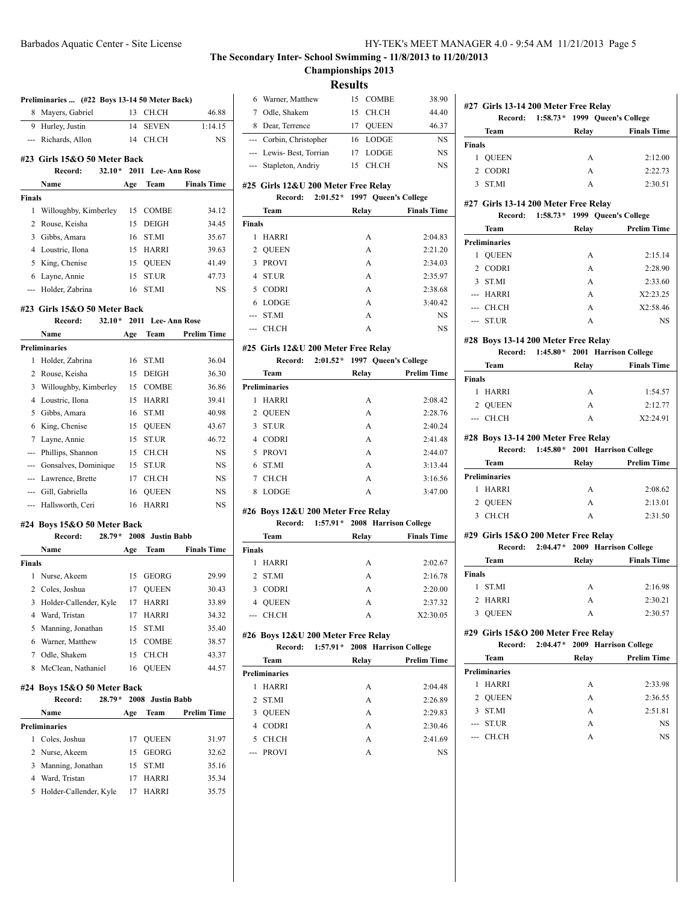# **The Secondary Inter- School Swimming - 11/8/2013 to 11/20/2013 Championships 2013**

**Results**

|               | Preliminaries  (#22 Boys 13-14 50 Meter Back)      |     |                   |                    | 6 W                           |
|---------------|----------------------------------------------------|-----|-------------------|--------------------|-------------------------------|
| 8             | Mayers, Gabriel                                    | 13  | CH.CH             | 46.88              | 7<br>$\circ$                  |
|               | 9 Hurley, Justin                                   | 14  | <b>SEVEN</b>      | 1:14.15            | 8 D                           |
|               | --- Richards, Allon                                | 14  | CH.CH             | <b>NS</b>          | $\mathcal{C}$<br>---          |
|               | #23 Girls 15&O 50 Meter Back                       |     |                   |                    | -- L                          |
|               | $32.10*$<br>Record:                                |     | 2011 Lee-Ann Rose |                    | --- S1                        |
|               | Name                                               | Age | Team              | <b>Finals Time</b> | #25 Gi                        |
| <b>Finals</b> |                                                    |     |                   |                    |                               |
| 1             | Willoughby, Kimberley                              | 15  | <b>COMBE</b>      | 34.12              | Т                             |
| 2             | Rouse, Keisha                                      | 15  | <b>DEIGH</b>      | 34.45              | Finals                        |
| 3             | Gibbs, Amara                                       | 16  | ST.MI             | 35.67              | H<br>1                        |
|               | 4 Loustric, Ilona                                  | 15  | HARRI             | 39.63              | 2 Q                           |
| 5             | King, Chenise                                      | 15  | <b>QUEEN</b>      | 41.49              | 3 P                           |
| 6             | Layne, Annie                                       | 15  | ST.UR             | 47.73              | 4 S                           |
|               | --- Holder, Zabrina                                | 16  | ST.MI             | NS                 | 5 C                           |
|               | #23 Girls 15&O 50 Meter Back                       |     |                   |                    | 6 L                           |
|               | $32.10*$<br>Record:                                |     | 2011 Lee-Ann Rose |                    | --- S                         |
|               | Name                                               | Age | Team              | <b>Prelim Time</b> | --- C                         |
|               | <b>Preliminaries</b>                               |     |                   |                    | #25 Gi                        |
| 1             | Holder, Zabrina                                    | 16  | ST.MI             | 36.04              |                               |
| 2             | Rouse, Keisha                                      | 15  | <b>DEIGH</b>      | 36.30              | Т                             |
| 3             | Willoughby, Kimberley                              | 15  | COMBE             | 36.86              | Prelimi                       |
| 4             | Loustric, Ilona                                    | 15  | HARRI             | 39.41              | 1 H                           |
| 5             | Gibbs, Amara                                       | 16  | ST.MI             | 40.98              | 2 Q                           |
| 6             | King, Chenise                                      | 15  | <b>QUEEN</b>      | 43.67              | 3 S                           |
| 7             | Layne, Annie                                       | 15  | <b>ST.UR</b>      | 46.72              | 4 C                           |
|               | --- Phillips, Shannon                              | 15  | CH.CH             | NS                 | 5 P                           |
|               | --- Gonsalves, Dominique                           | 15  | ST.UR             | NS                 | <sup>S</sup><br>6             |
|               | --- Lawrence, Brette                               | 17  | CH.CH             | NS                 | C<br>7                        |
|               | --- Gill, Gabriella                                | 16  | QUEEN             | NS                 | 8<br>L                        |
|               | --- Hallsworth, Ceri                               | 16  | <b>HARRI</b>      | NS                 |                               |
|               |                                                    |     |                   |                    | #26 Bo                        |
|               | #24 Boys 15&O 50 Meter Back<br>$28.79*$<br>Record: |     | 2008 Justin Babb  |                    | Т                             |
|               | <b>Name</b>                                        | Age | Team              | <b>Finals Time</b> | Finals                        |
| <b>Finals</b> |                                                    |     |                   |                    | 1<br>Н                        |
| 1             | Nurse, Akeem                                       | 15  | <b>GEORG</b>      | 29.99              | 2 S                           |
|               | 2 Coles, Joshua                                    | 17  | <b>QUEEN</b>      | 30.43              | $3\,C$                        |
| 3             | Holder-Callender, Kyle                             | 17  | HARRI             | 33.89              | 4 Q                           |
| 4             | Ward, Tristan                                      | 17  | HARRI             | 34.32              | --- C                         |
| 5             | Manning, Jonathan                                  | 15  | ST.MI             | 35.40              |                               |
|               | 6 Warner, Matthew                                  | 15  | COMBE             | 38.57              | #26 Bo                        |
|               | 7 Odle, Shakem                                     | 15  | CH.CH             | 43.37              |                               |
| 8             | McClean, Nathaniel                                 | 16  | <b>QUEEN</b>      | 44.57              | T                             |
|               |                                                    |     |                   |                    | Prelimi                       |
|               | #24 Boys 15&O 50 Meter Back<br>$28.79*$<br>Record: |     | 2008 Justin Babb  |                    | H<br>1<br>S<br>$\overline{2}$ |
|               | Name                                               | Age | Team              | <b>Prelim Time</b> |                               |
|               | <b>Preliminaries</b>                               |     |                   |                    | 3 Q<br>4 C                    |
| 1             | Coles, Joshua                                      | 17  | <b>QUEEN</b>      | 31.97              | 5 C                           |
|               | 2 Nurse, Akeem                                     | 15  | GEORG             | 32.62              | P                             |
| 3             | Manning, Jonathan                                  | 15  | ST.MI             | 35.16              |                               |
|               | 4 Ward, Tristan                                    |     | 17 HARRI          | 35.34              |                               |
| 5             | Holder-Callender, Kyle                             | 17  | HARRI             | 35.75              |                               |
|               |                                                    |     |                   |                    |                               |
|               |                                                    |     |                   |                    |                               |

| 6              | Warner, Matthew                     | 15 | <b>COMBE</b>                   | 38.90              |
|----------------|-------------------------------------|----|--------------------------------|--------------------|
| 7              | Odle, Shakem                        | 15 | CH.CH                          | 44.40              |
| 8              | Dear, Terrence                      | 17 | <b>QUEEN</b>                   | 46.37              |
| $\overline{a}$ | Corbin, Christopher                 | 16 | <b>LODGE</b>                   | <b>NS</b>          |
| $\overline{a}$ | Lewis-Best, Torrian                 | 17 | <b>LODGE</b>                   | <b>NS</b>          |
|                | --- Stapleton, Andriy               | 15 | CH.CH                          | <b>NS</b>          |
|                | #25 Girls 12&U 200 Meter Free Relay |    |                                |                    |
|                | Record:                             |    | 2:01.52 * 1997 Queen's College |                    |
|                | Team                                |    | Relay                          | <b>Finals Time</b> |
| Finals         |                                     |    |                                |                    |
| 1              | <b>HARRI</b>                        |    | A                              | 2:04.83            |
| 2              | <b>QUEEN</b>                        |    | A                              | 2:21.20            |
| 3              | <b>PROVI</b>                        |    | A                              | 2:34.03            |
| 4              | <b>ST.UR</b>                        |    | A                              | 2:35.97            |
| 5              | <b>CODRI</b>                        |    | A                              | 2:38.68            |
| 6              | <b>LODGE</b>                        |    | A                              | 3:40.42            |
| ---            | <b>ST.MI</b>                        |    | A                              | <b>NS</b>          |
|                | --- CH.CH                           |    | A                              | <b>NS</b>          |
|                | #25 Girls 12&U 200 Meter Free Relay |    |                                |                    |
|                | Record:                             |    | 2:01.52 * 1997 Oueen's College |                    |
|                | Team                                |    | <b>Relay</b>                   | Prelim Time        |

|                      | <b>Team</b>  | Relay | <b>Prelim Time</b> |
|----------------------|--------------|-------|--------------------|
| <b>Preliminaries</b> |              |       |                    |
| 1                    | <b>HARRI</b> | A     | 2:08.42            |
|                      | 2 OUEEN      | A     | 2:28.76            |
| 3                    | <b>ST UR</b> | A     | 2:40.24            |
| 4                    | <b>CODRI</b> | A     | 2:41.48            |
| 5                    | <b>PROVI</b> | A     | 2:44.07            |
| 6                    | <b>STMI</b>  | A     | 3:13.44            |
| 7                    | <b>CH CH</b> | A     | 3:16.56            |
| 8                    | <b>LODGE</b> | А     | 3:47.00            |

#### **#26 Boys 12&U 200 Meter Free Relay Record: 1:57.91\* 2008 Harrison College**

|                | Team         | Relay | <b>Finals Time</b> |
|----------------|--------------|-------|--------------------|
| Finals         |              |       |                    |
| 1              | <b>HARRI</b> | A     | 2:02.67            |
|                | 2 STMI       | A     | 2:16.78            |
|                | 3 CODRI      | A     | 2:20.00            |
| $\overline{4}$ | <b>OUEEN</b> | A     | 2:37.32            |
|                | --- CH.CH    | А     | X2:30.05           |
|                |              |       |                    |

### **#26 Boys 12&U 200 Meter Free Relay**

|    | Record:              |       | 1:57.91 * 2008 Harrison College |  |
|----|----------------------|-------|---------------------------------|--|
|    | <b>Team</b>          | Relay | <b>Prelim Time</b>              |  |
|    | <b>Preliminaries</b> |       |                                 |  |
| 1  | <b>HARRI</b>         |       | 2:04.48<br>A                    |  |
|    | 2 STMI               | A     | 2:26.89                         |  |
| 3  | <b>OUEEN</b>         |       | 2.2983<br>A                     |  |
| 4  | <b>CODRI</b>         |       | 2:30.46<br>A                    |  |
| 5. | <b>CH CH</b>         |       | 2:41.69<br>A                    |  |
|    | --- PROVI            |       | NS<br>А                         |  |
|    |                      |       |                                 |  |

|               | #27 Girls 13-14 200 Meter Free Relay |       |                                       |
|---------------|--------------------------------------|-------|---------------------------------------|
|               |                                      |       | Record: 1:58.73* 1999 Queen's College |
|               | Team                                 | Relay | <b>Finals Time</b>                    |
| <b>Finals</b> |                                      |       |                                       |
|               | <b>OUEEN</b>                         | A     | 2:12.00                               |
|               | 2 CODRI                              | A     | 2:22.73                               |
|               | <b>STMI</b>                          | А     | 2:30.51                               |

#### **#27 Girls 13-14 200 Meter Free Relay**

| Record:              | 1:58.73* 1999 Oueen's College |                    |
|----------------------|-------------------------------|--------------------|
| Team                 | Relay                         | <b>Prelim Time</b> |
| <b>Preliminaries</b> |                               |                    |
| <b>OUEEN</b>         | A                             | 2:15.14            |
| 2 CODRI              | A                             | 2:28.90            |
| - ST MI<br>3         | A                             | 2:33.60            |
| --- HARRI            | A                             | X2:23.25           |
| --- CH.CH            | A                             | X2:58.46           |
| --- ST.UR            | A                             | NS                 |

### **#28 Boys 13-14 200 Meter Free Relay**

|               | Record:      |       | $1:45.80*$ 2001 Harrison College |
|---------------|--------------|-------|----------------------------------|
|               | Team         | Relay | <b>Finals Time</b>               |
| <b>Finals</b> |              |       |                                  |
| 1.            | <b>HARRI</b> | A     | 1:54.57                          |
|               | 2 OUEEN      | А     | 2:12.77                          |
|               | --- CH.CH    | А     | X2:24.91                         |
|               |              |       |                                  |

### **#28 Boys 13-14 200 Meter Free Relay**

|    |                      | Record: 1:45.80* 2001 Harrison College |                    |
|----|----------------------|----------------------------------------|--------------------|
|    | Team                 | Relay                                  | <b>Prelim Time</b> |
|    | <b>Preliminaries</b> |                                        |                    |
| 1. | <b>HARRI</b>         | А                                      | 2:08.62            |
|    | 2 OUEEN              | А                                      | 2:13.01            |
|    | CH CH                |                                        | 2:31.50            |

### **#29 Girls 15&O 200 Meter Free Relay**

|               | Record:      | $2:04.47*$ 2009 Harrison College |                    |
|---------------|--------------|----------------------------------|--------------------|
|               | Team         | Relay                            | <b>Finals Time</b> |
| <b>Finals</b> |              |                                  |                    |
|               | 1 STMI       | А                                | 2:16.98            |
|               | 2 HARRI      | А                                | 2:30.21            |
|               | <b>OUEEN</b> |                                  | 2:30.57            |

# **#29 Girls 15&O 200 Meter Free Relay**

| Record:              | 2:04.47* 2009 Harrison College |                    |
|----------------------|--------------------------------|--------------------|
| <b>Team</b>          | Relay                          | <b>Prelim Time</b> |
| <b>Preliminaries</b> |                                |                    |
| <b>HARRI</b><br>1    | А                              | 2:33.98            |
| 2 OUEEN              | A                              | 2:36.55            |
| 3 STMI               | A                              | 2:51.81            |
| --- ST.UR            | А                              | NS                 |
| --- CH.CH            | A                              | NS                 |
|                      |                                |                    |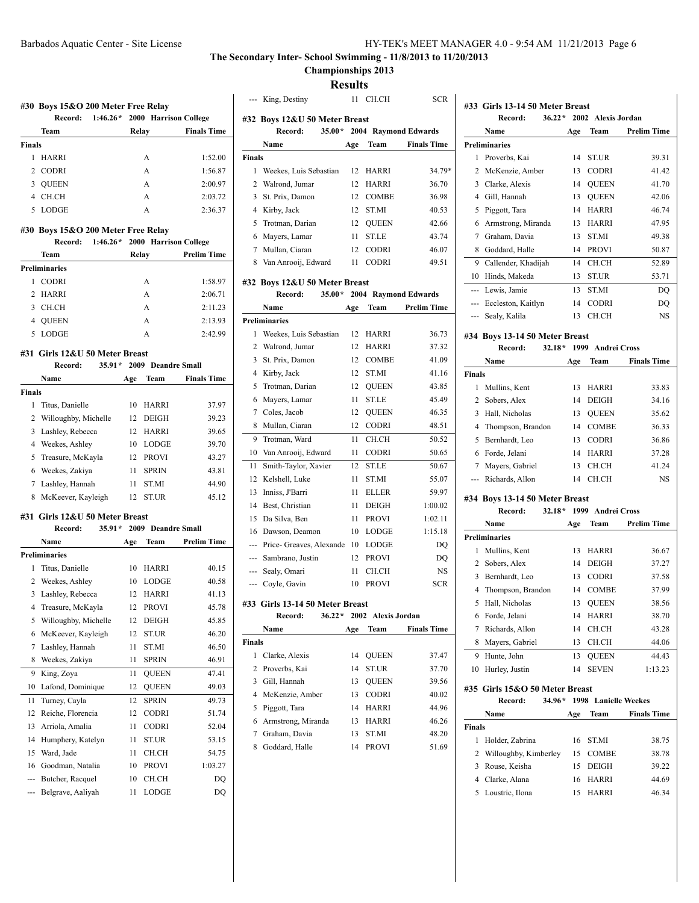**Championships 2013**

**Results**

|               | #30 Boys 15&O 200 Meter Free Relay<br>$1:46.26*$<br>Record: |       | 2000 Harrison College          |                    | --- King, Destiny<br>#32 Boys 12&U 50 N |  |
|---------------|-------------------------------------------------------------|-------|--------------------------------|--------------------|-----------------------------------------|--|
|               | Team                                                        | Relay |                                | <b>Finals Time</b> | Record:                                 |  |
| <b>Finals</b> |                                                             |       |                                |                    | Name                                    |  |
| 1             | HARRI                                                       |       | A                              | 1:52.00            | Finals                                  |  |
| 2             | <b>CODRI</b>                                                |       | А                              | 1:56.87            | $\mathbf{1}$<br>Weekes, Luis Seba       |  |
| 3             | <b>QUEEN</b>                                                |       | A                              | 2:00.97            | 2<br>Walrond, Jumar                     |  |
| 4             | CH.CH                                                       |       | A                              | 2:03.72            | 3 St. Prix, Damon                       |  |
| 5             | LODGE                                                       |       | A                              | 2:36.37            | 4 Kirby, Jack                           |  |
|               |                                                             |       |                                |                    | Trotman, Darian<br>5                    |  |
|               | #30 Boys 15&O 200 Meter Free Relay                          |       |                                |                    | 6 Mayers, Lamar                         |  |
|               | Record:                                                     |       | 1:46.26* 2000 Harrison College |                    | 7 Mullan, Ciaran                        |  |
|               | Team                                                        | Relay |                                | <b>Prelim Time</b> | 8 Van Anrooij, Edwa                     |  |
|               | <b>Preliminaries</b>                                        |       |                                |                    |                                         |  |
|               | 1 CODRI                                                     |       | A                              | 1:58.97            | #32 Boys 12&U 50 N                      |  |
| 2             | HARRI                                                       |       | A                              | 2:06.71            | Record:                                 |  |
| 3             | CH.CH                                                       |       | А                              | 2:11.23            | Name                                    |  |
| 4             | <b>QUEEN</b>                                                |       | A                              | 2:13.93            | <b>Preliminaries</b>                    |  |
| 5             | LODGE                                                       |       | A                              | 2:42.99            | Weekes, Luis Seba<br>1                  |  |
|               |                                                             |       |                                |                    | Walrond, Jumar<br>2                     |  |
|               | #31 Girls 12&U 50 Meter Breast<br>Record:                   |       | 35.91 * 2009 Deandre Small     |                    | St. Prix, Damon<br>3                    |  |
|               |                                                             |       |                                | <b>Finals Time</b> | 4 Kirby, Jack                           |  |
|               | Name                                                        | Age   | Team                           |                    | 5 Trotman, Darian                       |  |
| <b>Finals</b> |                                                             |       |                                |                    | 6 Mayers, Lamar                         |  |
| 1             | Titus, Danielle                                             | 10    | HARRI                          | 37.97              | 7 Coles, Jacob                          |  |
| 2             | Willoughby, Michelle                                        |       | 12 DEIGH                       | 39.23              | 8 Mullan, Ciaran                        |  |
| 3             | Lashley, Rebecca                                            |       | 12 HARRI                       | 39.65              | Trotman, Ward<br>9                      |  |
| 4             | Weekes, Ashley                                              |       | 10 LODGE                       | 39.70              | Van Anrooij, Edwa<br>10                 |  |
| 5             | Treasure, McKayla                                           |       | 12 PROVI                       | 43.27              | 11<br>Smith-Taylor, Xav                 |  |
| 6             | Weekes, Zakiya                                              | 11    | <b>SPRIN</b>                   | 43.81              | Kelshell, Luke<br>12                    |  |
| 7             | Lashley, Hannah                                             | 11    | ST.MI                          | 44.90              | Inniss, J'Barri<br>13                   |  |
| 8             | McKeever, Kayleigh                                          | 12    | ST.UR                          | 45.12              | Best, Christian<br>14                   |  |
|               | #31 Girls 12&U 50 Meter Breast                              |       |                                |                    | Da Silva, Ben<br>15                     |  |
|               | Record:                                                     |       | 35.91 * 2009 Deandre Small     |                    | 16 Dawson, Deamon                       |  |
|               | Name                                                        | Age   | Team                           | <b>Prelim Time</b> | --- Price- Greaves, Al                  |  |
|               | <b>Preliminaries</b>                                        |       |                                |                    |                                         |  |
| 1             | Titus, Danielle                                             | 10    | HARRI                          | 40.15              | Sambrano, Justin                        |  |
| 2             | Weekes, Ashley                                              |       | 10 LODGE                       | 40.58              | Sealy, Omari                            |  |
| 3             | Lashley, Rebecca                                            | 12    | HARRI                          | 41.13              | Coyle, Gavin                            |  |
| 4             | Treasure, McKayla                                           | 12    | PROVI                          | 45.78              | #33 Girls 13-14 50 M                    |  |
| 5             | Willoughby, Michelle                                        | 12    | DEIGH                          | 45.85              | Record:                                 |  |
| 6             | McKeever, Kayleigh                                          | 12    | ST.UR                          | 46.20              | Name                                    |  |
| 7             | Lashley, Hannah                                             | 11    | ST.MI                          | 46.50              | Finals                                  |  |
| 8             | Weekes, Zakiya                                              | 11    | SPRIN                          | 46.91              | 1<br>Clarke, Alexis                     |  |
|               |                                                             |       |                                |                    | $\overline{c}$<br>Proverbs, Kai         |  |
| 9             | King, Zoya                                                  | 11    | QUEEN                          | 47.41              | 3<br>Gill, Hannah                       |  |
| 10            | Lafond, Dominique                                           | 12    | QUEEN                          | 49.03              | McKenzie, Amber<br>4                    |  |
| 11            | Turney, Cayla                                               | 12    | SPRIN                          | 49.73              | 5<br>Piggott, Tara                      |  |
| 12            | Reiche, Florencia                                           | 12    | CODRI                          | 51.74              | 6<br>Armstrong, Mirano                  |  |
| 13            | Arriola, Amalia                                             | 11    | CODRI                          | 52.04              | 7<br>Graham, Davia                      |  |
| 14            | Humphery, Katelyn                                           | 11    | ST.UR                          | 53.15              | 8<br>Goddard, Halle                     |  |
| 15            | Ward, Jade                                                  | 11    | CH.CH                          | 54.75              |                                         |  |
| 16            | Goodman, Natalia                                            | 10    | PROVI                          | 1:03.27            |                                         |  |
| ---           | Butcher, Racquel                                            | 10    | CH.CH                          | DQ                 |                                         |  |
|               | Belgrave, Aaliyah                                           | 11    | LODGE                          | DQ                 |                                         |  |
|               |                                                             |       |                                |                    |                                         |  |

|          |                                 | results |                    |                        |
|----------|---------------------------------|---------|--------------------|------------------------|
| $\cdots$ | King, Destiny                   | 11      | CH.CH              | SCR                    |
|          | #32 Boys 12&U 50 Meter Breast   |         |                    |                        |
|          | $35.00*$<br>Record:             | 2004    |                    | <b>Raymond Edwards</b> |
|          | Name                            | Age     | Team               | <b>Finals Time</b>     |
| Finals   |                                 |         |                    |                        |
| 1        | Weekes, Luis Sebastian          | 12      | HARRI              | 34.79*                 |
|          | 2 Walrond, Jumar                | 12      | <b>HARRI</b>       | 36.70                  |
| 3        | St. Prix, Damon                 | 12      | <b>COMBE</b>       | 36.98                  |
| 4        | Kirby, Jack                     | 12      | ST.MI              | 40.53                  |
| 5        | Trotman, Darian                 | 12      | <b>QUEEN</b>       | 42.66                  |
| 6        | Mayers, Lamar                   | 11      | <b>ST.LE</b>       | 43.74                  |
| 7        | Mullan, Ciaran                  | 12      | <b>CODRI</b>       | 46.07                  |
| 8        | Van Anrooij, Edward             | 11      | <b>CODRI</b>       | 49.51                  |
|          |                                 |         |                    |                        |
|          | #32 Boys 12&U 50 Meter Breast   |         |                    |                        |
|          | $35.00*$<br>Record:             | 2004    |                    | <b>Raymond Edwards</b> |
|          | Name                            | Age     | Team               | <b>Prelim Time</b>     |
|          | <b>Preliminaries</b>            |         |                    |                        |
| 1        | Weekes, Luis Sebastian          | 12      | <b>HARRI</b>       | 36.73                  |
|          | 2 Walrond, Jumar                | 12.     | HARRI              | 37.32                  |
| 3        | St. Prix, Damon                 | 12      | <b>COMBE</b>       | 41.09                  |
|          | 4 Kirby, Jack                   | 12      | ST.MI              | 41.16                  |
| 5        | Trotman, Darian                 | 12      | <b>QUEEN</b>       | 43.85                  |
| 6        | Mayers, Lamar                   | 11      | <b>ST.LE</b>       | 45.49                  |
| 7        | Coles, Jacob                    | 12      | <b>OUEEN</b>       | 46.35                  |
| 8        | Mullan, Ciaran                  | 12      | <b>CODRI</b>       | 48.51                  |
| 9        | Trotman, Ward                   | 11      | CH.CH              | 50.52                  |
| 10       | Van Anrooij, Edward             | 11      | <b>CODRI</b>       | 50.65                  |
| 11       | Smith-Taylor, Xavier            | 12      | <b>ST.LE</b>       | 50.67                  |
| 12       | Kelshell, Luke                  | 11      | ST.MI              | 55.07                  |
| 13       | Inniss, J'Barri                 | 11      | <b>ELLER</b>       | 59.97                  |
| 14       | Best, Christian                 | 11      | DEIGH              | 1:00.02                |
| 15       | Da Silva, Ben                   | 11      | <b>PROVI</b>       | 1:02.11                |
| 16       | Dawson, Deamon                  | 10      | <b>LODGE</b>       | 1:15.18                |
|          | --- Price- Greaves, Alexande 10 |         | <b>LODGE</b>       | DQ                     |
|          | --- Sambrano, Justin            | 12      | <b>PROVI</b>       | DQ                     |
| ---      | Sealy, Omari                    | 11      | CH.CH              | NS                     |
|          | Coyle, Gavin                    | 10      | <b>PROVI</b>       | SCR                    |
|          | #33 Girls 13-14 50 Meter Breast |         |                    |                        |
|          | $36.22*$<br>Record:             |         | 2002 Alexis Jordan |                        |
|          | Name                            | Age     | Team               | <b>Finals Time</b>     |
| Finals   |                                 |         |                    |                        |
| 1        | Clarke, Alexis                  | 14      | QUEEN              | 37.47                  |
| 2        | Proverbs, Kai                   | 14      | <b>ST.UR</b>       | 37.70                  |
| 3        | Gill, Hannah                    | 13      | <b>OUEEN</b>       | 39.56                  |
|          | 4 McKenzie, Amber               | 13      | <b>CODRI</b>       | 40.02                  |
|          |                                 | 14      | <b>HARRI</b>       |                        |
| 5        | Piggott, Tara                   |         |                    | 44.96                  |
| 6        | Armstrong, Miranda              | 13      | HARRI              | 46.26                  |
| 7        | Graham, Davia                   | 13      | ST.MI              | 48.20                  |
| 8        | Goddard, Halle                  | 14      | <b>PROVI</b>       | 51.69                  |
|          |                                 |         |                    |                        |

|                    | $36.22*$<br>Record:                                   |     | 2002 Alexis Jordan |                                                               |
|--------------------|-------------------------------------------------------|-----|--------------------|---------------------------------------------------------------|
|                    | Name                                                  | Age | Team               | <b>Prelim Time</b>                                            |
|                    | <b>Preliminaries</b>                                  |     |                    |                                                               |
| 1                  | Proverbs, Kai                                         | 14  | ST.UR              | 39.31                                                         |
| 2                  | McKenzie, Amber                                       | 13  | <b>CODRI</b>       | 41.42                                                         |
| 3                  | Clarke, Alexis                                        | 14  | QUEEN              | 41.70                                                         |
| 4                  | Gill, Hannah                                          | 13  | <b>QUEEN</b>       | 42.06                                                         |
| 5                  | Piggott, Tara                                         | 14  | <b>HARRI</b>       | 46.74                                                         |
| 6                  | Armstrong, Miranda                                    | 13  | <b>HARRI</b>       | 47.95                                                         |
| 7                  | Graham, Davia                                         | 13  | ST.MI              | 49.38                                                         |
| 8                  | Goddard, Halle                                        | 14  | <b>PROVI</b>       | 50.87                                                         |
| 9                  | Callender, Khadijah                                   | 14  | CH.CH              | 52.89                                                         |
|                    | 10 Hinds, Makeda                                      | 13  | ST.UR              | 53.71                                                         |
|                    | --- Lewis, Jamie                                      | 13  | ST.MI              | DQ                                                            |
|                    | --- Eccleston, Kaitlyn                                | 14  | <b>CODRI</b>       | DQ                                                            |
| $\cdots$           | Sealy, Kalila                                         | 13  | CH.CH              | <b>NS</b>                                                     |
|                    |                                                       |     |                    |                                                               |
|                    | #34 Boys 13-14 50 Meter Breast<br>$32.18*$<br>Record: |     | 1999 Andrei Cross  |                                                               |
|                    | Name                                                  |     |                    |                                                               |
|                    |                                                       | Age | Team               | <b>Finals Time</b>                                            |
| <b>Finals</b><br>1 | Mullins, Kent                                         |     |                    |                                                               |
|                    |                                                       | 13  | HARRI              | 33.83                                                         |
| 2                  | Sobers, Alex                                          | 14  | <b>DEIGH</b>       | 34.16                                                         |
| 3                  | Hall, Nicholas                                        | 13  | <b>QUEEN</b>       | 35.62                                                         |
| 4                  | Thompson, Brandon                                     | 14  | COMBE              | 36.33                                                         |
| 5                  | Bernhardt, Leo                                        | 13  | <b>CODRI</b>       | 36.86                                                         |
| 6                  | Forde, Jelani                                         | 14  | <b>HARRI</b>       | 37.28                                                         |
| 7                  | Mayers, Gabriel                                       | 13  | CH.CH              | 41.24                                                         |
|                    | Richards, Allon                                       | 14  | CH.CH              | NS                                                            |
|                    | #34 Boys 13-14 50 Meter Breast                        |     |                    |                                                               |
|                    | $32.18*$<br>Record:                                   |     | 1999 Andrei Cross  |                                                               |
|                    | Name                                                  | Age | Team               | <b>Prelim Time</b>                                            |
|                    | <b>Preliminaries</b>                                  |     |                    |                                                               |
| 1                  | Mullins, Kent                                         | 13  | <b>HARRI</b>       | 36.67                                                         |
| 2                  | Sobers, Alex                                          | 14  | <b>DEIGH</b>       | 37.27                                                         |
|                    | Bernhardt, Leo                                        | 13  | <b>CODRI</b>       | 37.58                                                         |
| 3                  |                                                       |     |                    |                                                               |
| 4                  | Thompson, Brandon                                     | 14  | <b>COMBE</b>       |                                                               |
|                    | 5 Hall, Nicholas                                      |     | 13 QUEEN           |                                                               |
|                    | 6 Forde, Jelani                                       | 14  | <b>HARRI</b>       |                                                               |
| 7                  | Richards, Allon                                       | 14  | CH.CH              |                                                               |
|                    | 8 Mayers, Gabriel                                     | 13  | CH.CH              |                                                               |
| 9                  | Hunte, John                                           | 13  | <b>OUEEN</b>       |                                                               |
| 10                 | Hurley, Justin                                        | 14  | <b>SEVEN</b>       |                                                               |
|                    | #35 Girls 15&O 50 Meter Breast                        |     |                    | 37.99<br>38.56<br>38.70<br>43.28<br>44.06<br>44.43<br>1:13.23 |

|        | Name                    | Age | <b>Team</b>  | <b>Finals Time</b> |
|--------|-------------------------|-----|--------------|--------------------|
| Finals |                         |     |              |                    |
| 1      | Holder, Zabrina         |     | 16 STMI      | 38.75              |
|        | 2 Willoughby, Kimberley |     | 15 COMBE     | 38.78              |
| 3      | Rouse, Keisha           | 15  | <b>DEIGH</b> | 39.22              |
|        | 4 Clarke, Alana         |     | 16 HARRI     | 44.69              |
|        | 5 Loustric, Ilona       |     | HARRI        | 46.34              |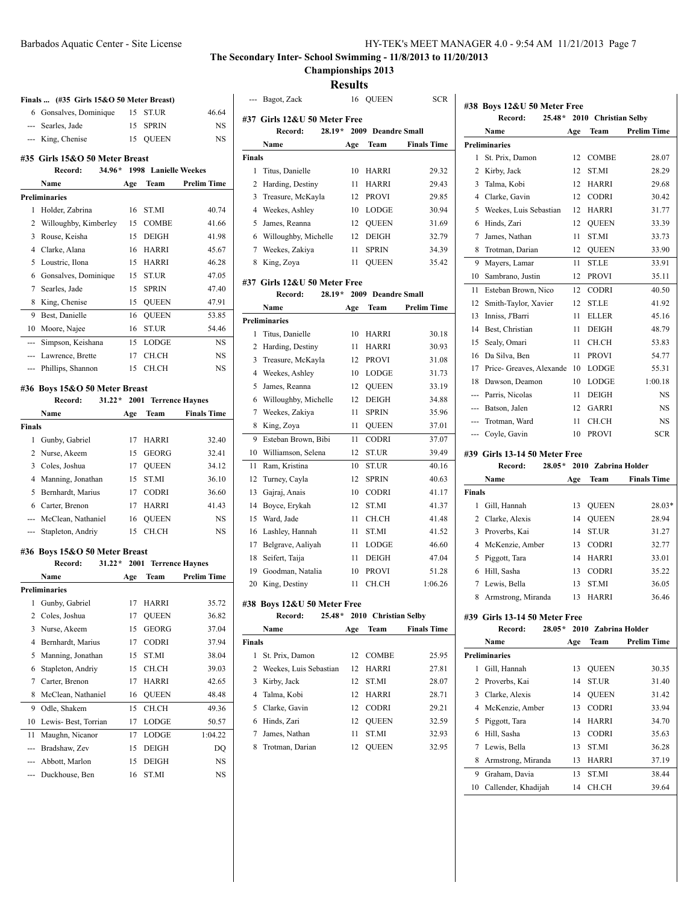**Championships 2013**

**Results**

| Finals  (#35 Girls 15&O 50 Meter Breast) |                                                      |      |                      |                        |
|------------------------------------------|------------------------------------------------------|------|----------------------|------------------------|
|                                          | 6 Gonsalves, Dominique                               | 15   | ST.UR                | 46.64                  |
|                                          | --- Searles, Jade                                    | 15   | <b>SPRIN</b>         | NS                     |
|                                          | --- King, Chenise                                    | 15   | <b>QUEEN</b>         | NS                     |
|                                          | #35 Girls 15&O 50 Meter Breast                       |      |                      |                        |
|                                          | $34.96*$<br>Record:                                  |      | 1998 Lanielle Weekes |                        |
|                                          | Name                                                 | Age  | Team                 | <b>Prelim Time</b>     |
|                                          | <b>Preliminaries</b>                                 |      |                      |                        |
| 1                                        | Holder, Zabrina                                      | 16   | ST.MI                | 40.74                  |
| 2                                        | Willoughby, Kimberley                                | 15   | <b>COMBE</b>         | 41.66                  |
| 3                                        | Rouse, Keisha                                        | 15   | <b>DEIGH</b>         | 41.98                  |
| 4                                        | Clarke, Alana                                        | 16   | HARRI                | 45.67                  |
| 5                                        | Loustric, Ilona                                      | 15   | HARRI                | 46.28                  |
| 6                                        | Gonsalves, Dominique                                 | 15   | ST.UR                | 47.05                  |
| 7                                        | Searles, Jade                                        | 15   | <b>SPRIN</b>         | 47.40                  |
| 8                                        | King, Chenise                                        | 15   | <b>QUEEN</b>         | 47.91                  |
| 9                                        | Best, Danielle                                       | 16   | <b>QUEEN</b>         | 53.85                  |
|                                          | 10 Moore, Najee                                      | 16   | ST.UR                | 54.46                  |
| ---                                      | Simpson, Keishana                                    | 15   | <b>LODGE</b>         | NS                     |
| ---                                      | Lawrence, Brette                                     | 17   | CH.CH                | <b>NS</b>              |
| ---                                      | Phillips, Shannon                                    | 15   | CH.CH                | NS                     |
|                                          |                                                      |      |                      |                        |
|                                          | #36 Boys 15&O 50 Meter Breast<br>$31.22*$<br>Record: | 2001 |                      | <b>Terrence Haynes</b> |
|                                          | Name                                                 | Age  | Team                 | <b>Finals Time</b>     |
| Finals                                   |                                                      |      |                      |                        |
|                                          | 1 Gunby, Gabriel                                     | 17   | HARRI                | 32.40                  |
| $\overline{2}$                           | Nurse, Akeem                                         | 15   | <b>GEORG</b>         | 32.41                  |
| 3                                        | Coles, Joshua                                        | 17   | <b>QUEEN</b>         | 34.12                  |
| 4                                        | Manning, Jonathan                                    | 15   | ST.MI                | 36.10                  |
| 5                                        | Bernhardt, Marius                                    | 17   | <b>CODRI</b>         | 36.60                  |
| 6                                        | Carter, Brenon                                       | 17   | HARRI                | 41.43                  |
|                                          | --- McClean, Nathaniel                               | 16   | <b>QUEEN</b>         | NS                     |
| ---                                      | Stapleton, Andriy                                    | 15   | CH.CH                | NS                     |
|                                          |                                                      |      |                      |                        |
|                                          | #36 Boys 15&O 50 Meter Breast                        |      |                      |                        |
|                                          | Record:<br>$31.22*$                                  | 2001 |                      | <b>Terrence Haynes</b> |
|                                          | Name                                                 | Age  | Team                 | <b>Prelim Time</b>     |
|                                          | <b>Preliminaries</b>                                 |      |                      |                        |
|                                          | 1 Gunby, Gabriel                                     |      | 17 HARRI             | 35.72                  |
| 2                                        | Coles, Joshua                                        | 17   | QUEEN                | 36.82                  |
| 3                                        | Nurse, Akeem                                         | 15   | GEORG                | 37.04                  |
| 4                                        | Bernhardt, Marius                                    | 17   | CODRI                | 37.94                  |
| 5                                        | Manning, Jonathan                                    | 15   | ST.MI                | 38.04                  |
| 6                                        | Stapleton, Andriy                                    | 15   | CH.CH                | 39.03                  |
| 7                                        | Carter, Brenon                                       | 17   | HARRI                | 42.65                  |
| 8                                        | McClean, Nathaniel                                   | 16   | QUEEN                | 48.48                  |
| 9                                        | Odle, Shakem                                         | 15   | CH.CH                | 49.36                  |
| 10                                       | Lewis-Best, Torrian                                  | 17   | LODGE                | 50.57                  |
| 11                                       | Maughn, Nicanor                                      | 17   | LODGE                | 1:04.22                |
| ---                                      | Bradshaw, Zev                                        | 15   | DEIGH                | DQ                     |
| ---                                      | Abbott, Marlon                                       | 15   | DEIGH                | NS                     |
| ---                                      | Duckhouse, Ben                                       | 16   | ST.MI                | NS                     |

|               | --- Bagot, Zack              |     | 16 OUEEN                   | <b>SCR</b>         |
|---------------|------------------------------|-----|----------------------------|--------------------|
|               | #37 Girls 12&U 50 Meter Free |     |                            |                    |
|               | $28.19*$<br>Record:          |     | 2009 Deandre Small         |                    |
|               | Name                         | Age | Team                       | <b>Finals Time</b> |
| <b>Finals</b> |                              |     |                            |                    |
| 1             | Titus, Danielle              | 10  | HARRI                      | 29.32              |
| 2             | Harding, Destiny             | 11  | <b>HARRI</b>               | 29.43              |
| 3             | Treasure, McKayla            | 12  | <b>PROVI</b>               | 29.85              |
| 4             | Weekes, Ashley               | 10  | LODGE                      | 30.94              |
| 5             | James, Reanna                | 12  | <b>QUEEN</b>               | 31.69              |
| 6             | Willoughby, Michelle         | 12  | <b>DEIGH</b>               | 32.79              |
| 7             | Weekes, Zakiya               | 11  | <b>SPRIN</b>               | 34.39              |
| 8             | King, Zoya                   | 11  | <b>QUEEN</b>               | 35.42              |
|               | #37 Girls 12&U 50 Meter Free |     |                            |                    |
|               | Record:                      |     | 28.19 * 2009 Deandre Small |                    |
|               | Name                         | Age | Team                       | <b>Prelim Time</b> |
|               | <b>Preliminaries</b>         |     |                            |                    |
| 1             | Titus, Danielle              | 10  | <b>HARRI</b>               | 30.18              |
| 2             | Harding, Destiny             | 11  | HARRI                      | 30.93              |
| 3             | Treasure, McKayla            | 12  | <b>PROVI</b>               | 31.08              |
| 4             | Weekes, Ashley               | 10  | <b>LODGE</b>               | 31.73              |
| 5             | James, Reanna                | 12  | <b>QUEEN</b>               | 33.19              |
| 6             | Willoughby, Michelle         | 12  | <b>DEIGH</b>               | 34.88              |
| 7             | Weekes, Zakiya               | 11  | <b>SPRIN</b>               | 35.96              |
| 8             | King, Zoya                   | 11  | <b>QUEEN</b>               | 37.01              |
| 9             | Esteban Brown, Bibi          | 11  | CODRI                      | 37.07              |
| 10            | Williamson, Selena           | 12  | <b>ST.UR</b>               | 39.49              |
| 11            | Ram, Kristina                | 10  | ST.UR                      | 40.16              |
| 12            | Turney, Cayla                | 12  | <b>SPRIN</b>               | 40.63              |
| 13            | Gajraj, Anais                | 10  | <b>CODRI</b>               | 41.17              |
| 14            | Boyce, Erykah                | 12  | ST.MI                      | 41.37              |
| 15            | Ward, Jade                   | 11  | CH.CH                      | 41.48              |
| 16            | Lashley, Hannah              | 11  | ST.MI                      | 41.52              |
| 17            | Belgrave, Aaliyah            | 11  | <b>LODGE</b>               | 46.60              |
| 18            | Seifert, Taija               | 11  | <b>DEIGH</b>               | 47.04              |
| 19            | Goodman, Natalia             | 10  | <b>PROVI</b>               | 51.28              |
| 20            | King, Destiny                | 11  | CH.CH                      | 1:06.26            |
|               |                              |     |                            |                    |
|               | #38 Boys 12&U 50 Meter Free  |     |                            |                    |
|               | $25.48*$<br>Record:          |     | 2010 Christian Selby       |                    |
|               | Name                         | Age | Team                       | <b>Finals Time</b> |
| <b>Finals</b> |                              |     |                            |                    |
| 1             | St. Prix, Damon              | 12  | <b>COMBE</b>               | 25.95              |
| 2             | Weekes, Luis Sebastian       | 12  | HARRI                      | 27.81              |
| 3             | Kirby, Jack                  | 12  | ST.MI                      | 28.07              |
| 4             | Talma, Kobi                  | 12  | HARRI                      | 28.71              |
| 5             | Clarke, Gavin                | 12  | <b>CODRI</b>               | 29.21              |
| 6             | Hinds, Zari                  | 12  | <b>OUEEN</b>               | 32.59              |

 James, Nathan 11 ST.MI 32.93 Trotman, Darian 12 QUEEN 32.95

|                | $25.48*$<br>Record:                                  |     | 2010 Christian Selby |                    |  |
|----------------|------------------------------------------------------|-----|----------------------|--------------------|--|
|                | Name                                                 | Age | Team                 | <b>Prelim Time</b> |  |
|                | <b>Preliminaries</b>                                 |     |                      |                    |  |
| 1              | St. Prix, Damon                                      | 12  | COMBE                | 28.07              |  |
| 2              | Kirby, Jack                                          | 12  | <b>ST.MI</b>         | 28.29              |  |
| 3              | Talma, Kobi                                          | 12  | HARRI                | 29.68              |  |
| 4              | Clarke, Gavin                                        | 12  | <b>CODRI</b>         | 30.42              |  |
| 5              | Weekes, Luis Sebastian                               | 12  | <b>HARRI</b>         | 31.77              |  |
| 6              | Hinds, Zari                                          | 12  | <b>OUEEN</b>         | 33.39              |  |
| 7              | James, Nathan                                        | 11  | ST.MI                | 33.73              |  |
| 8              | Trotman, Darian                                      | 12  | <b>QUEEN</b>         | 33.90              |  |
| 9              | Mayers, Lamar                                        | 11  | ST.LE                | 33.91              |  |
| 10             | Sambrano, Justin                                     | 12  | PROVI                | 35.11              |  |
| 11             | Esteban Brown, Nico                                  | 12  | <b>CODRI</b>         | 40.50              |  |
| 12             | Smith-Taylor, Xavier                                 | 12  | ST.LE                | 41.92              |  |
| 13             | Inniss, J'Barri                                      | 11  | <b>ELLER</b>         | 45.16              |  |
| 14             | Best. Christian                                      | 11  | <b>DEIGH</b>         | 48.79              |  |
| 15             | Sealy, Omari                                         | 11  | CH.CH                | 53.83              |  |
| 16             | Da Silva, Ben                                        | 11  | <b>PROVI</b>         | 54.77              |  |
| 17             | Price- Greaves, Alexande                             | 10  | <b>LODGE</b>         | 55.31              |  |
| 18             | Dawson, Deamon                                       | 10  | LODGE                | 1:00.18            |  |
| ---            | Parris, Nicolas                                      | 11  | DEIGH                | NS                 |  |
| ---            | Batson, Jalen                                        | 12  | GARRI                | NS                 |  |
| $\overline{a}$ | Trotman, Ward                                        | 11  | CH.CH                | NS                 |  |
| ---            | Coyle, Gavin                                         | 10  | <b>PROVI</b>         | <b>SCR</b>         |  |
|                | #39 Girls 13-14 50 Meter Free                        |     |                      |                    |  |
|                | $28.05*$<br>Record:                                  |     | 2010 Zabrina Holder  |                    |  |
|                | Name                                                 | Age | Team                 | <b>Finals Time</b> |  |
| <b>Finals</b>  |                                                      |     |                      |                    |  |
| 1              | Gill, Hannah                                         | 13  | <b>QUEEN</b>         | 28.03*             |  |
|                | 2 Clarke, Alexis                                     | 14  | QUEEN                | 28.94              |  |
| 3              | Proverbs, Kai                                        | 14  | ST.UR                | 31.27              |  |
| 4              | McKenzie, Amber                                      | 13  | <b>CODRI</b>         | 32.77              |  |
| 5              | Piggott, Tara                                        | 14  | <b>HARRI</b>         | 33.01              |  |
| 6              | Hill, Sasha                                          | 13  | <b>CODRI</b>         | 35.22              |  |
| 7              | Lewis, Bella                                         | 13  | ST.MI                | 36.05              |  |
| 8              | Armstrong, Miranda                                   | 13  | HARRI                | 36.46              |  |
|                |                                                      |     |                      |                    |  |
|                | #39 Girls 13-14 50 Meter Free<br>2010 Zabrina Holder |     |                      |                    |  |
|                | $28.05*$<br>Record:                                  |     |                      |                    |  |
|                | Name                                                 | Age | Team                 | <b>Prelim Time</b> |  |
|                | <b>Preliminaries</b>                                 |     |                      |                    |  |
| 1              | Gill, Hannah                                         | 13  | <b>QUEEN</b>         | 30.35              |  |
| 2              | Proverbs, Kai                                        | 14  | ST.UR                | 31.40              |  |
| 3              | Clarke, Alexis                                       | 14  | <b>QUEEN</b>         | 31.42              |  |

|    | 3 Clarke, Alexis       |    | 14 QUEEN     | 31.42 |
|----|------------------------|----|--------------|-------|
|    | 4 McKenzie, Amber      | 13 | <b>CODRI</b> | 33.94 |
|    | 5 Piggott, Tara        | 14 | <b>HARRI</b> | 34.70 |
|    | 6 Hill, Sasha          | 13 | <b>CODRI</b> | 35.63 |
|    | 7 Lewis, Bella         | 13 | <b>STMI</b>  | 36.28 |
|    | 8 Armstrong, Miranda   | 13 | <b>HARRI</b> | 37.19 |
| 9. | Graham, Davia          | 13 | <b>STMI</b>  | 38.44 |
|    | 10 Callender, Khadijah | 14 | CH CH        | 39.64 |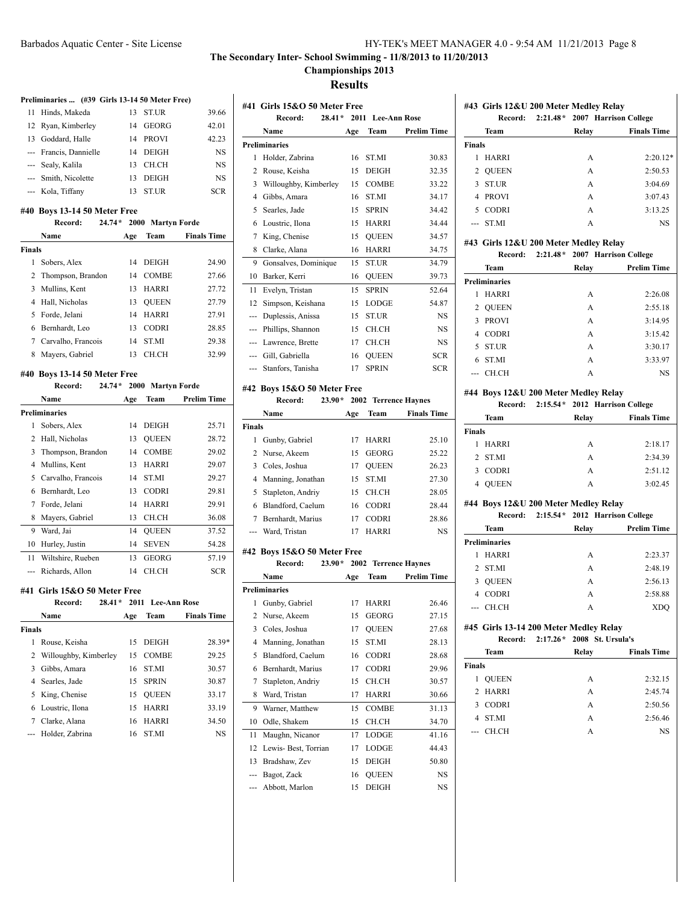# **Championships 2013**

**Results**

|                | Preliminaries  (#39 Girls 13-14 50 Meter Free) |          |                   |                    |
|----------------|------------------------------------------------|----------|-------------------|--------------------|
| 11             | Hinds, Makeda                                  | 13       | ST.UR             | 39.66              |
| 12             | Ryan, Kimberley                                | 14       | GEORG             | 42.01              |
| 13             | Goddard, Halle                                 | 14       | <b>PROVI</b>      | 42.23              |
|                | --- Francis, Dannielle                         | 14       | DEIGH             | <b>NS</b>          |
|                | --- Sealy, Kalila                              | 13       | CH.CH             | NS                 |
|                | --- Smith, Nicolette                           | 13       | DEIGH             | NS                 |
|                | --- Kola, Tiffany                              | 13       | ST.UR             | <b>SCR</b>         |
|                | #40 Boys 13-14 50 Meter Free                   |          |                   |                    |
|                | $24.74*$<br>Record:                            |          | 2000 Martyn Forde |                    |
|                | Name                                           | Age      | Team              | <b>Finals Time</b> |
| Finals         |                                                |          |                   |                    |
| 1              | Sobers, Alex                                   | 14       | DEIGH             | 24.90              |
| 2              | Thompson, Brandon                              | 14       | COMBE             | 27.66              |
| 3              | Mullins, Kent                                  | 13       | HARRI             | 27.72              |
| 4              | Hall, Nicholas                                 | 13       | <b>QUEEN</b>      | 27.79              |
| 5              | Forde, Jelani                                  | 14       | HARRI             | 27.91              |
| 6              | Bernhardt, Leo                                 | 13       | CODRI             | 28.85              |
| 7              | Carvalho, Francois                             | 14       | ST.MI             | 29.38              |
| 8              | Mayers, Gabriel                                | 13       | CH.CH             | 32.99              |
|                | #40 Boys 13-14 50 Meter Free                   |          |                   |                    |
|                | $24.74*$<br>Record:                            |          | 2000 Martyn Forde |                    |
|                | Name                                           | Age      | Team              | <b>Prelim Time</b> |
|                | Preliminaries                                  |          |                   |                    |
| 1              | Sobers, Alex                                   | 14       | DEIGH             | 25.71              |
| $\overline{c}$ | Hall, Nicholas                                 | 13       | <b>QUEEN</b>      | 28.72              |
| 3              | Thompson, Brandon                              | 14       | <b>COMBE</b>      | 29.02              |
| 4              | Mullins, Kent                                  | 13       | HARRI             | 29.07              |
| 5              | Carvalho, Francois                             | 14       | ST.MI             | 29.27              |
| 6              | Bernhardt, Leo                                 | 13       | CODRI             | 29.81              |
| 7              | Forde, Jelani                                  | 14       | HARRI             | 29.91              |
| 8              | Mayers, Gabriel                                |          |                   |                    |
|                |                                                | 13       | CH.CH             | 36.08              |
| 9              | Ward, Jai                                      | 14       | <b>OUEEN</b>      | 37.52              |
| 10             | Hurley, Justin                                 | 14       | SEVEN             | 54.28              |
| 11             | Wiltshire, Rueben                              | 13       | <b>GEORG</b>      | 57.19              |
| ---            | Richards, Allon                                | 14       | CH.CH             | <b>SCR</b>         |
|                |                                                |          |                   |                    |
|                | #41 Girls 15&0 50 Meter Free                   |          |                   |                    |
|                | Record: 28.41* 2011 Lee-Ann Rose               |          |                   |                    |
|                | Name                                           | Age      | Team              | <b>Finals Time</b> |
| Finals         |                                                |          |                   |                    |
| 1              | Rouse, Keisha                                  | 15       | DEIGH             | 28.39*             |
| 2              | Willoughby, Kimberley                          | 15       | COMBE             | 29.25              |
| 3              | Gibbs, Amara                                   | 16       | ST.MI             | 30.57              |
| 4              | Searles, Jade                                  | 15<br>15 | SPRIN             | 30.87              |
| 5<br>6         | King, Chenise<br>Loustric, Ilona               | 15       | QUEEN             | 33.17              |
| 7              |                                                | 16       | HARRI<br>HARRI    | 33.19              |
| ---            | Clarke, Alana<br>Holder, Zabrina               | 16       | ST.MI             | 34.50<br>NS        |

|                | #41 Girls 15&0 50 Meter Free |          |      |                   |                        |
|----------------|------------------------------|----------|------|-------------------|------------------------|
|                | Record:                      | $28.41*$ |      | 2011 Lee-Ann Rose |                        |
|                | Name                         |          | Age  | Team              | <b>Prelim Time</b>     |
|                | <b>Preliminaries</b>         |          |      |                   |                        |
| 1              | Holder, Zabrina              |          | 16   | <b>ST.MI</b>      | 30.83                  |
| $\overline{c}$ | Rouse, Keisha                |          | 15   | <b>DEIGH</b>      | 32.35                  |
| 3              | Willoughby, Kimberley        |          | 15   | <b>COMBE</b>      | 33.22                  |
| 4              | Gibbs, Amara                 |          | 16   | <b>ST.MI</b>      | 34.17                  |
| 5              | Searles, Jade                |          | 15   | <b>SPRIN</b>      | 34.42                  |
| 6              | Loustric, Ilona              |          | 15   | <b>HARRI</b>      | 34.44                  |
| 7              | King, Chenise                |          | 15   | <b>OUEEN</b>      | 34.57                  |
| 8              | Clarke, Alana                |          | 16   | <b>HARRI</b>      | 34.75                  |
| 9              | Gonsalves, Dominique         |          | 15   | <b>ST.UR</b>      | 34.79                  |
| 10             | Barker, Kerri                |          | 16   | <b>OUEEN</b>      | 39.73                  |
| 11             | Evelyn, Tristan              |          | 15   | <b>SPRIN</b>      | 52.64                  |
| 12             | Simpson, Keishana            |          | 15   | <b>LODGE</b>      | 54.87                  |
| ---            | Duplessis, Anissa            |          | 15   | <b>ST.UR</b>      | <b>NS</b>              |
| ---            | Phillips, Shannon            |          | 15   | CH.CH             | <b>NS</b>              |
| ---            | Lawrence, Brette             |          | 17   | CH.CH             | <b>NS</b>              |
| $\overline{a}$ | Gill, Gabriella              |          | 16   | <b>OUEEN</b>      | <b>SCR</b>             |
| ---            | Stanfors, Tanisha            |          | 17   | <b>SPRIN</b>      | <b>SCR</b>             |
|                | #42 Boys 15&O 50 Meter Free  |          |      |                   |                        |
|                | Record:                      | $23.90*$ | 2002 |                   | <b>Terrence Haynes</b> |
|                | Name                         |          | Age  | Team              | <b>Finals Time</b>     |
| <b>Finals</b>  |                              |          |      |                   |                        |
| 1              | Gunby, Gabriel               |          | 17   | <b>HARRI</b>      | 25.10                  |
|                | 2 Nurse Akeem                |          |      | 15 GEORG          | 25.22                  |

|                | Gunby, Gabriel      |    | <b>HARRI</b> | 25.10 |
|----------------|---------------------|----|--------------|-------|
|                | 2 Nurse, Akeem      | 15 | GEORG        | 25.22 |
|                | 3 Coles, Joshua     | 17 | <b>OUEEN</b> | 26.23 |
|                | 4 Manning, Jonathan | 15 | <b>STMI</b>  | 27.30 |
|                | 5 Stapleton, Andriy | 15 | CH.CH        | 28.05 |
|                | 6 Blandford, Caelum | 16 | <b>CODRI</b> | 28.44 |
|                | Bernhardt, Marius   | 17 | <b>CODRI</b> | 28.86 |
| $\overline{a}$ | Ward, Tristan       |    | HARRI        | NS.   |

### **#42 Boys 15&O 50 Meter Free**

|     | Record:              | $23.90*$ |     | 2002 Terrence Haynes |                    |
|-----|----------------------|----------|-----|----------------------|--------------------|
|     | Name                 |          | Age | Team                 | <b>Prelim Time</b> |
|     | <b>Preliminaries</b> |          |     |                      |                    |
| 1   | Gunby, Gabriel       |          | 17  | <b>HARRI</b>         | 26.46              |
| 2   | Nurse, Akeem         |          | 15  | <b>GEORG</b>         | 27.15              |
| 3   | Coles, Joshua        |          | 17  | <b>OUEEN</b>         | 27.68              |
| 4   | Manning, Jonathan    |          | 15  | ST.MI                | 28.13              |
| 5   | Blandford, Caelum    |          | 16  | <b>CODRI</b>         | 28.68              |
| 6   | Bernhardt, Marius    |          | 17  | <b>CODRI</b>         | 29.96              |
| 7   | Stapleton, Andriy    |          | 15  | CH.CH                | 30.57              |
| 8   | Ward, Tristan        |          | 17  | <b>HARRI</b>         | 30.66              |
| 9   | Warner, Matthew      |          | 15  | <b>COMBE</b>         | 31.13              |
| 10  | Odle, Shakem         |          | 15  | CH.CH                | 34.70              |
| 11  | Maughn, Nicanor      |          | 17  | <b>LODGE</b>         | 41.16              |
| 12  | Lewis-Best, Torrian  |          | 17  | <b>LODGE</b>         | 44.43              |
| 13  | Bradshaw, Zev        |          | 15  | <b>DEIGH</b>         | 50.80              |
| --- | Bagot, Zack          |          | 16  | <b>OUEEN</b>         | <b>NS</b>          |
|     | Abbott, Marlon       |          | 15  | <b>DEIGH</b>         | <b>NS</b>          |

|        | #43 Girls 12&U 200 Meter Medley Relay |       |                                        |  |  |  |
|--------|---------------------------------------|-------|----------------------------------------|--|--|--|
|        |                                       |       | Record: 2:21.48* 2007 Harrison College |  |  |  |
|        | Team                                  | Relay | <b>Finals Time</b>                     |  |  |  |
| Finals |                                       |       |                                        |  |  |  |
|        | <b>HARRI</b>                          | A     | $2:20.12*$                             |  |  |  |
| 2      | OUEEN                                 | A     | 2:50.53                                |  |  |  |
| 3      | <b>ST.UR</b>                          | A     | 3:04.69                                |  |  |  |
| 4      | <b>PROVI</b>                          | A     | 3:07.43                                |  |  |  |
| 5      | CODRI                                 | A     | 3:13.25                                |  |  |  |
|        | --- ST.MI                             | А     | NS                                     |  |  |  |

### **#43 Girls 12&U 200 Meter Medley Relay**

|   | Record:              |       | 2:21.48 * 2007 Harrison College |
|---|----------------------|-------|---------------------------------|
|   | Team                 | Relay | <b>Prelim Time</b>              |
|   | <b>Preliminaries</b> |       |                                 |
| 1 | <b>HARRI</b>         | A     | 2:26.08                         |
|   | 2 OUEEN              | A     | 2:55.18                         |
|   | 3 PROVI              | A     | 3:14.95                         |
| 4 | <b>CODRI</b>         | A     | 3:15.42                         |
|   | 5 ST.UR              | A     | 3:30.17                         |
| 6 | <b>STMI</b>          | A     | 3:33.97                         |
|   | <b>CH CH</b>         | А     | <b>NS</b>                       |
|   |                      |       |                                 |

### **#44 Boys 12&U 200 Meter Medley Relay**

| Record:                       | 2:15.54 * 2012 Harrison College |                    |
|-------------------------------|---------------------------------|--------------------|
| Team                          | Relay                           | <b>Finals Time</b> |
| <b>Finals</b>                 |                                 |                    |
| <b>HARRI</b>                  | A                               | 2:18.17            |
| 2 STMI                        | A                               | 2:34.39            |
| <b>CODRI</b><br>$\mathcal{F}$ | A                               | 2:51.12            |
| <b>OUEEN</b><br>4             | A                               | 3:02.45            |
|                               |                                 |                    |

### **#44 Boys 12&U 200 Meter Medley Relay**

|                | Record:              | 2:15.54 * 2012 Harrison College |   |                    |
|----------------|----------------------|---------------------------------|---|--------------------|
|                | <b>Team</b>          | Relay                           |   | <b>Prelim Time</b> |
|                | <b>Preliminaries</b> |                                 |   |                    |
|                | <b>HARRI</b>         |                                 | A | 2:23.37            |
|                | 2 ST.MI              |                                 | A | 2:48.19            |
| 3              | <b>OUEEN</b>         |                                 | A | 2:56.13            |
| $\overline{4}$ | <b>CODRI</b>         |                                 | A | 2:58.88            |
|                | --- СН.СН            |                                 | А | XDO                |

# **#45 Girls 13-14 200 Meter Medley Relay**

| Record:           | 2:17.26 * 2008 St. Ursula's |                    |
|-------------------|-----------------------------|--------------------|
| Team              | Relay                       | <b>Finals Time</b> |
| Finals            |                             |                    |
| <b>OUEEN</b><br>1 | A                           | 2:32.15            |
| 2 HARRI           | A                           | 2:45.74            |
| 3 CODRI           | А                           | 2:50.56            |
| 4 STMI            | A                           | 2:56.46            |
| --- СН.СН         | А                           | NS                 |
|                   |                             |                    |